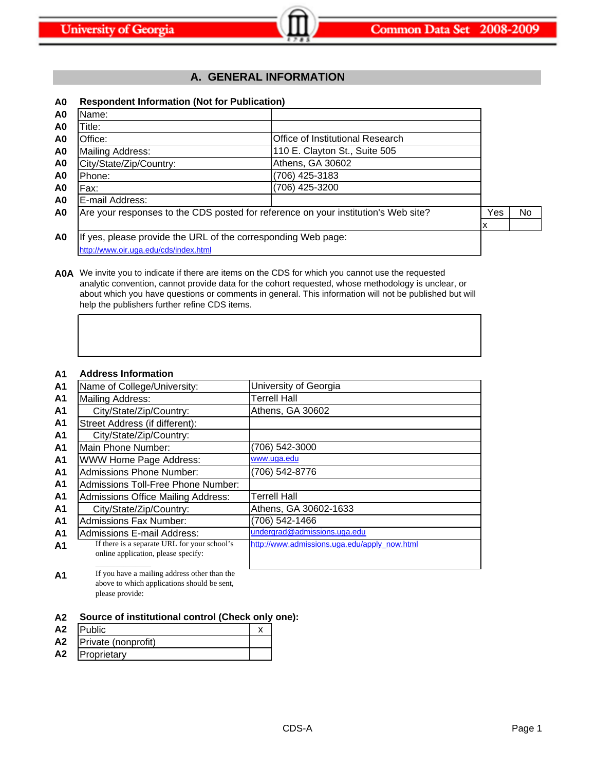# **A. GENERAL INFORMATION**

# **A0 Respondent Information (Not for Publication)**

| A <sub>0</sub> | Name:                                                         |                                                                                    |     |    |
|----------------|---------------------------------------------------------------|------------------------------------------------------------------------------------|-----|----|
| A <sub>0</sub> | Title:                                                        |                                                                                    |     |    |
| A <sub>0</sub> | Office:                                                       | Office of Institutional Research                                                   |     |    |
| A <sub>0</sub> | Mailing Address:                                              | 110 E. Clayton St., Suite 505                                                      |     |    |
| A <sub>0</sub> | City/State/Zip/Country:                                       | Athens, GA 30602                                                                   |     |    |
| A0             | Phone:                                                        | (706) 425-3183                                                                     |     |    |
| A <sub>0</sub> | Fax:                                                          | (706) 425-3200                                                                     |     |    |
| A <sub>0</sub> | IE-mail Address:                                              |                                                                                    |     |    |
| A <sub>0</sub> |                                                               | Are your responses to the CDS posted for reference on your institution's Web site? | Yes | No |
|                |                                                               |                                                                                    | х   |    |
| A0             | If yes, please provide the URL of the corresponding Web page: |                                                                                    |     |    |
|                | http://www.oir.uga.edu/cds/index.html                         |                                                                                    |     |    |

**A0A** We invite you to indicate if there are items on the CDS for which you cannot use the requested analytic convention, cannot provide data for the cohort requested, whose methodology is unclear, or about which you have questions or comments in general. This information will not be published but will help the publishers further refine CDS items.

# **A1 Address Information**

| <b>A1</b>      | Name of College/University:                                                         | University of Georgia                        |
|----------------|-------------------------------------------------------------------------------------|----------------------------------------------|
| A <sub>1</sub> | <b>Mailing Address:</b>                                                             | <b>Terrell Hall</b>                          |
| A <sub>1</sub> | City/State/Zip/Country:                                                             | Athens, GA 30602                             |
| A <sub>1</sub> | Street Address (if different):                                                      |                                              |
| A <sub>1</sub> | City/State/Zip/Country:                                                             |                                              |
| A <sub>1</sub> | Main Phone Number:                                                                  | (706) 542-3000                               |
| A <sub>1</sub> | WWW Home Page Address:                                                              | www.uga.edu                                  |
| <b>A1</b>      | <b>Admissions Phone Number:</b>                                                     | (706) 542-8776                               |
| A <sub>1</sub> | Admissions Toll-Free Phone Number:                                                  |                                              |
| A <sub>1</sub> | Admissions Office Mailing Address:                                                  | Terrell Hall                                 |
| A <sub>1</sub> | City/State/Zip/Country:                                                             | Athens, GA 30602-1633                        |
| A <sub>1</sub> | <b>Admissions Fax Number:</b>                                                       | (706) 542-1466                               |
| A <sub>1</sub> | Admissions E-mail Address:                                                          | undergrad@admissions.uga.edu                 |
| A <sub>1</sub> | If there is a separate URL for your school's<br>online application, please specify: | http://www.admissions.uga.edu/apply_now.html |
|                |                                                                                     |                                              |

A<sup>1</sup> If you have a mailing address other than the above to which applications should be sent, please provide:

#### **A2 Source of institutional control (Check only one):**

| A <sub>2</sub> | <b>IPublic</b>      |  |
|----------------|---------------------|--|
| A <sub>2</sub> | Private (nonprofit) |  |
| A <sub>2</sub> | Proprietary         |  |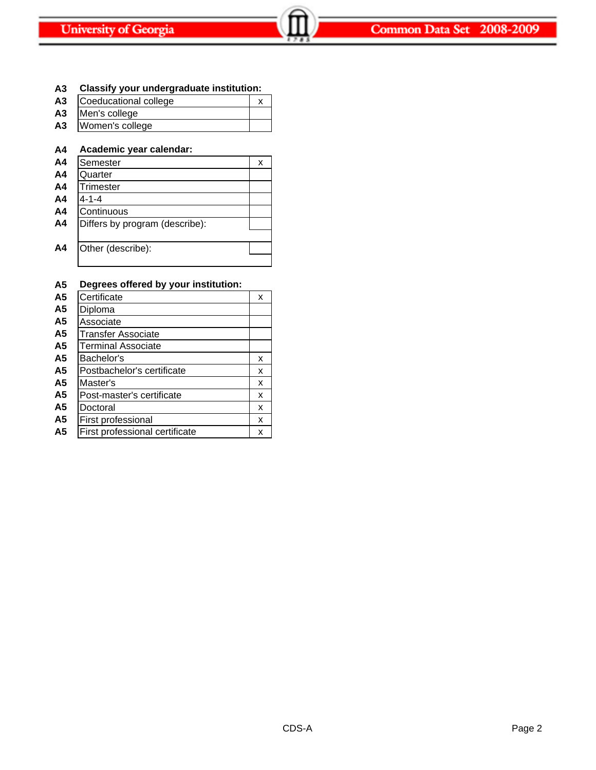# **A3 Classify your undergraduate institution:**

- A3 Coeducational college x **A3** Men's college
- **A3** Women's college

# **A4 Academic year calendar:**

| A <sub>4</sub> | Semester                       | x |
|----------------|--------------------------------|---|
| A <sub>4</sub> | Quarter                        |   |
| A <sub>4</sub> | Trimester                      |   |
| A <sub>4</sub> | $4 - 1 - 4$                    |   |
| A <sub>4</sub> | Continuous                     |   |
| A4             | Differs by program (describe): |   |
|                |                                |   |
| A4             | Other (describe):              |   |
|                |                                |   |

# **A5 Degrees offered by your institution:**

| A5             | Certificate                    | x |
|----------------|--------------------------------|---|
| A5             | Diploma                        |   |
| A5             | Associate                      |   |
| A <sub>5</sub> | Transfer Associate             |   |
| A <sub>5</sub> | <b>Terminal Associate</b>      |   |
| A5             | Bachelor's                     | x |
| A5             | Postbachelor's certificate     | x |
| A5             | Master's                       | x |
| A5             | Post-master's certificate      | x |
| A5             | Doctoral                       | x |
| A5             | First professional             | x |
| A5             | First professional certificate | x |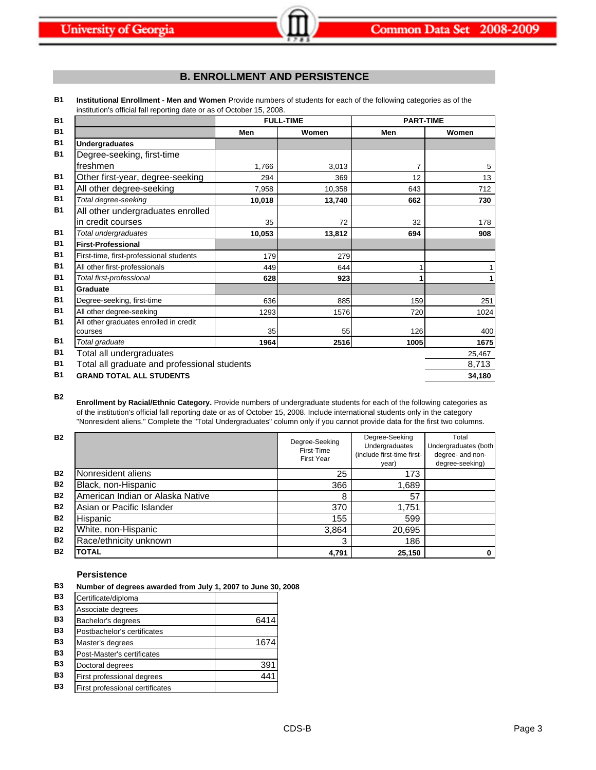# **B. ENROLLMENT AND PERSISTENCE**

**B1 Institutional Enrollment - Men and Women** Provide numbers of students for each of the following categories as of the institution's official fall reporting date or as of October 15, 2008.

| <b>B1</b> |                                              | <b>FULL-TIME</b> |        | <b>PART-TIME</b> |        |
|-----------|----------------------------------------------|------------------|--------|------------------|--------|
| <b>B1</b> |                                              | Men              | Women  | Men              | Women  |
| <b>B1</b> | <b>Undergraduates</b>                        |                  |        |                  |        |
| <b>B1</b> | Degree-seeking, first-time                   |                  |        |                  |        |
|           | freshmen                                     | 1,766            | 3,013  | 7                | 5      |
| <b>B1</b> | Other first-year, degree-seeking             | 294              | 369    | 12               | 13     |
| <b>B1</b> | All other degree-seeking                     | 7,958            | 10,358 | 643              | 712    |
| <b>B1</b> | Total degree-seeking                         | 10,018           | 13,740 | 662              | 730    |
| <b>B1</b> | All other undergraduates enrolled            |                  |        |                  |        |
|           | in credit courses                            | 35               | 72     | 32               | 178    |
| <b>B1</b> | Total undergraduates                         | 10,053           | 13,812 | 694              | 908    |
| <b>B1</b> | <b>First-Professional</b>                    |                  |        |                  |        |
| <b>B1</b> | First-time, first-professional students      | 179              | 279    |                  |        |
| <b>B1</b> | All other first-professionals                | 449              | 644    | 1                |        |
| <b>B1</b> | Total first-professional                     | 628              | 923    |                  | 1      |
| <b>B1</b> | Graduate                                     |                  |        |                  |        |
| <b>B1</b> | Degree-seeking, first-time                   | 636              | 885    | 159              | 251    |
| <b>B1</b> | All other degree-seeking                     | 1293             | 1576   | 720              | 1024   |
| <b>B1</b> | All other graduates enrolled in credit       |                  |        |                  |        |
|           | courses                                      | 35               | 55     | 126              | 400    |
| <b>B1</b> | Total graduate                               | 1964             | 2516   | 1005             | 1675   |
| <b>B1</b> | Total all undergraduates                     |                  |        |                  | 25,467 |
| <b>B1</b> | Total all graduate and professional students |                  |        |                  | 8,713  |
| <b>B1</b> | <b>GRAND TOTAL ALL STUDENTS</b>              |                  |        |                  | 34,180 |

**B2**

**Enrollment by Racial/Ethnic Category.** Provide numbers of undergraduate students for each of the following categories as of the institution's official fall reporting date or as of October 15, 2008. Include international students only in the category "Nonresident aliens." Complete the "Total Undergraduates" column only if you cannot provide data for the first two columns.

| <b>B2</b> |                                  | Degree-Seeking<br>First-Time<br><b>First Year</b> | Degree-Seeking<br>Undergraduates<br>(include first-time first-<br>year) | Total<br>Undergraduates (both<br>degree- and non-<br>degree-seeking) |
|-----------|----------------------------------|---------------------------------------------------|-------------------------------------------------------------------------|----------------------------------------------------------------------|
| <b>B2</b> | Nonresident aliens               | 25                                                | 173                                                                     |                                                                      |
| <b>B2</b> | Black, non-Hispanic              | 366                                               | 1,689                                                                   |                                                                      |
| <b>B2</b> | American Indian or Alaska Native | 8                                                 | 57                                                                      |                                                                      |
| <b>B2</b> | Asian or Pacific Islander        | 370                                               | 1,751                                                                   |                                                                      |
| <b>B2</b> | Hispanic                         | 155                                               | 599                                                                     |                                                                      |
| <b>B2</b> | White, non-Hispanic              | 3,864                                             | 20,695                                                                  |                                                                      |
| <b>B2</b> | Race/ethnicity unknown           | 3                                                 | 186                                                                     |                                                                      |
| <b>B2</b> | <b>TOTAL</b>                     | 4,791                                             | 25,150                                                                  | 0                                                                    |

# **Persistence**

| B3 |  |  |  | Number of degrees awarded from July 1, 2007 to June 30, 2008 |  |  |  |
|----|--|--|--|--------------------------------------------------------------|--|--|--|
|----|--|--|--|--------------------------------------------------------------|--|--|--|

| <b>B3</b> | Certificate/diploma             |      |
|-----------|---------------------------------|------|
| <b>B3</b> | Associate degrees               |      |
| <b>B3</b> | Bachelor's degrees              | 6414 |
| <b>B3</b> | Postbachelor's certificates     |      |
| <b>B3</b> | Master's degrees                | 1674 |
| <b>B3</b> | Post-Master's certificates      |      |
| <b>B3</b> | Doctoral degrees                | 391  |
| <b>B3</b> | First professional degrees      | 441  |
| <b>B3</b> | First professional certificates |      |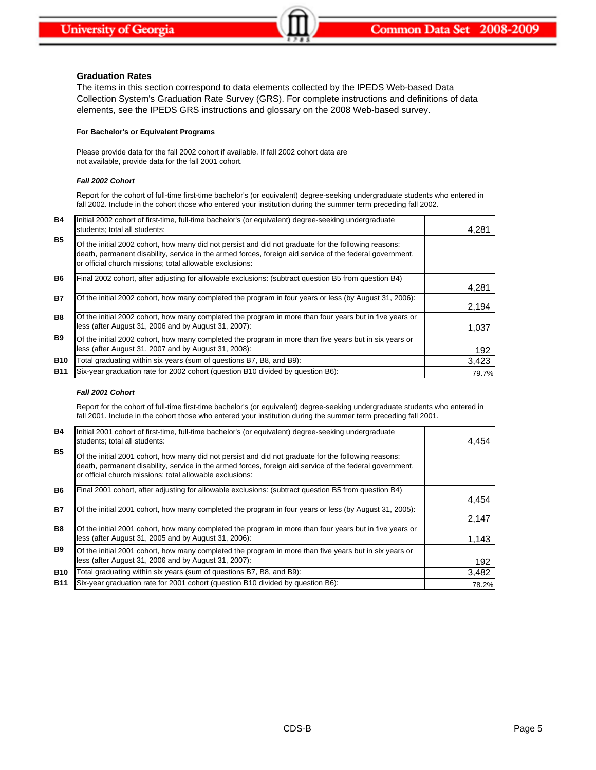### **Graduation Rates**

The items in this section correspond to data elements collected by the IPEDS Web-based Data Collection System's Graduation Rate Survey (GRS). For complete instructions and definitions of data elements, see the IPEDS GRS instructions and glossary on the 2008 Web-based survey.

### **For Bachelor's or Equivalent Programs**

Please provide data for the fall 2002 cohort if available. If fall 2002 cohort data are not available, provide data for the fall 2001 cohort.

# *Fall 2002 Cohort*

Report for the cohort of full-time first-time bachelor's (or equivalent) degree-seeking undergraduate students who entered in fall 2002. Include in the cohort those who entered your institution during the summer term preceding fall 2002.

| <b>B4</b>  | Initial 2002 cohort of first-time, full-time bachelor's (or equivalent) degree-seeking undergraduate<br>students; total all students:                                                                                                                                        | 4,281 |
|------------|------------------------------------------------------------------------------------------------------------------------------------------------------------------------------------------------------------------------------------------------------------------------------|-------|
| <b>B5</b>  | Of the initial 2002 cohort, how many did not persist and did not graduate for the following reasons:<br>death, permanent disability, service in the armed forces, foreign aid service of the federal government,<br>or official church missions; total allowable exclusions: |       |
| <b>B6</b>  | Final 2002 cohort, after adjusting for allowable exclusions: (subtract question B5 from question B4)                                                                                                                                                                         | 4,281 |
| <b>B7</b>  | Of the initial 2002 cohort, how many completed the program in four years or less (by August 31, 2006):                                                                                                                                                                       | 2,194 |
| <b>B8</b>  | Of the initial 2002 cohort, how many completed the program in more than four years but in five years or<br>less (after August 31, 2006 and by August 31, 2007):                                                                                                              | 1,037 |
| <b>B</b> 9 | Of the initial 2002 cohort, how many completed the program in more than five years but in six years or<br>less (after August 31, 2007 and by August 31, 2008):                                                                                                               | 192   |
| <b>B10</b> | Total graduating within six years (sum of questions B7, B8, and B9):                                                                                                                                                                                                         | 3,423 |
| <b>B11</b> | Six-year graduation rate for 2002 cohort (question B10 divided by question B6):                                                                                                                                                                                              | 79.7% |

### *Fall 2001 Cohort*

Report for the cohort of full-time first-time bachelor's (or equivalent) degree-seeking undergraduate students who entered in fall 2001. Include in the cohort those who entered your institution during the summer term preceding fall 2001.

| <b>B4</b>  | Initial 2001 cohort of first-time, full-time bachelor's (or equivalent) degree-seeking undergraduate<br>students; total all students:                                                                                                                                        | 4.454 |
|------------|------------------------------------------------------------------------------------------------------------------------------------------------------------------------------------------------------------------------------------------------------------------------------|-------|
| <b>B5</b>  | Of the initial 2001 cohort, how many did not persist and did not graduate for the following reasons:<br>death, permanent disability, service in the armed forces, foreign aid service of the federal government,<br>or official church missions; total allowable exclusions: |       |
| <b>B6</b>  | Final 2001 cohort, after adjusting for allowable exclusions: (subtract question B5 from question B4)                                                                                                                                                                         | 4,454 |
| <b>B7</b>  | Of the initial 2001 cohort, how many completed the program in four years or less (by August 31, 2005):                                                                                                                                                                       | 2,147 |
| <b>B8</b>  | Of the initial 2001 cohort, how many completed the program in more than four years but in five years or<br>less (after August 31, 2005 and by August 31, 2006):                                                                                                              | 1,143 |
| <b>B9</b>  | Of the initial 2001 cohort, how many completed the program in more than five years but in six years or<br>less (after August 31, 2006 and by August 31, 2007):                                                                                                               | 192   |
| <b>B10</b> | Total graduating within six years (sum of questions B7, B8, and B9):                                                                                                                                                                                                         | 3,482 |
| <b>B11</b> | Six-year graduation rate for 2001 cohort (question B10 divided by question B6):                                                                                                                                                                                              | 78.2% |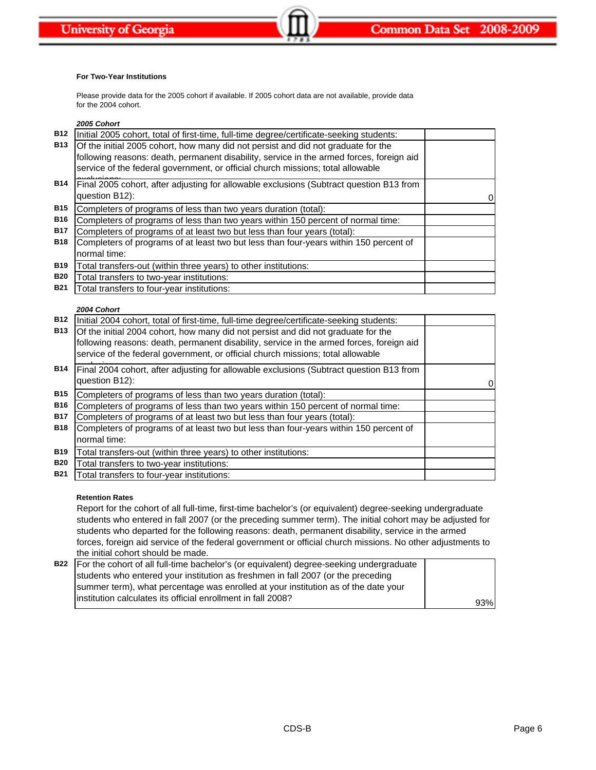### **For Two-Year Institutions**

Please provide data for the 2005 cohort if available. If 2005 cohort data are not available, provide data for the 2004 cohort.

*2005 Cohort*

| <b>B12</b> | Initial 2005 cohort, total of first-time, full-time degree/certificate-seeking students:                                                                                      |   |
|------------|-------------------------------------------------------------------------------------------------------------------------------------------------------------------------------|---|
| <b>B13</b> | Of the initial 2005 cohort, how many did not persist and did not graduate for the<br>following reasons: death, permanent disability, service in the armed forces, foreign aid |   |
|            | service of the federal government, or official church missions; total allowable                                                                                               |   |
| <b>B14</b> | Final 2005 cohort, after adjusting for allowable exclusions (Subtract question B13 from<br>question B12):                                                                     | 0 |
| <b>B15</b> | Completers of programs of less than two years duration (total):                                                                                                               |   |
| <b>B16</b> | Completers of programs of less than two years within 150 percent of normal time:                                                                                              |   |
| <b>B17</b> | Completers of programs of at least two but less than four years (total):                                                                                                      |   |
| <b>B18</b> | Completers of programs of at least two but less than four-years within 150 percent of                                                                                         |   |
|            | normal time:                                                                                                                                                                  |   |
| <b>B19</b> | Total transfers-out (within three years) to other institutions:                                                                                                               |   |
| <b>B20</b> | Total transfers to two-year institutions:                                                                                                                                     |   |
| <b>B21</b> | Total transfers to four-year institutions:                                                                                                                                    |   |
|            |                                                                                                                                                                               |   |

### *2004 Cohort*

| <b>B12</b> | Initial 2004 cohort, total of first-time, full-time degree/certificate-seeking students: |   |
|------------|------------------------------------------------------------------------------------------|---|
| <b>B13</b> | Of the initial 2004 cohort, how many did not persist and did not graduate for the        |   |
|            | following reasons: death, permanent disability, service in the armed forces, foreign aid |   |
|            | service of the federal government, or official church missions; total allowable          |   |
| <b>B14</b> | Final 2004 cohort, after adjusting for allowable exclusions (Subtract question B13 from  |   |
|            | question B12):                                                                           | 0 |
| <b>B15</b> | Completers of programs of less than two years duration (total):                          |   |
| <b>B16</b> | Completers of programs of less than two years within 150 percent of normal time:         |   |
| <b>B17</b> | Completers of programs of at least two but less than four years (total):                 |   |
| <b>B18</b> | Completers of programs of at least two but less than four-years within 150 percent of    |   |
|            | normal time:                                                                             |   |
| <b>B19</b> | Total transfers-out (within three years) to other institutions:                          |   |
| <b>B20</b> | Total transfers to two-year institutions:                                                |   |
| <b>B21</b> | Total transfers to four-year institutions:                                               |   |

## **Retention Rates**

Report for the cohort of all full-time, first-time bachelor's (or equivalent) degree-seeking undergraduate students who entered in fall 2007 (or the preceding summer term). The initial cohort may be adjusted for students who departed for the following reasons: death, permanent disability, service in the armed forces, foreign aid service of the federal government or official church missions. No other adjustments to the initial cohort should be made.

| B22   For the cohort of all full-time bachelor's (or equivalent) degree-seeking undergraduate |     |
|-----------------------------------------------------------------------------------------------|-----|
| students who entered your institution as freshmen in fall 2007 (or the preceding              |     |
| summer term), what percentage was enrolled at your institution as of the date your            |     |
| linstitution calculates its official enrollment in fall 2008?                                 | 93% |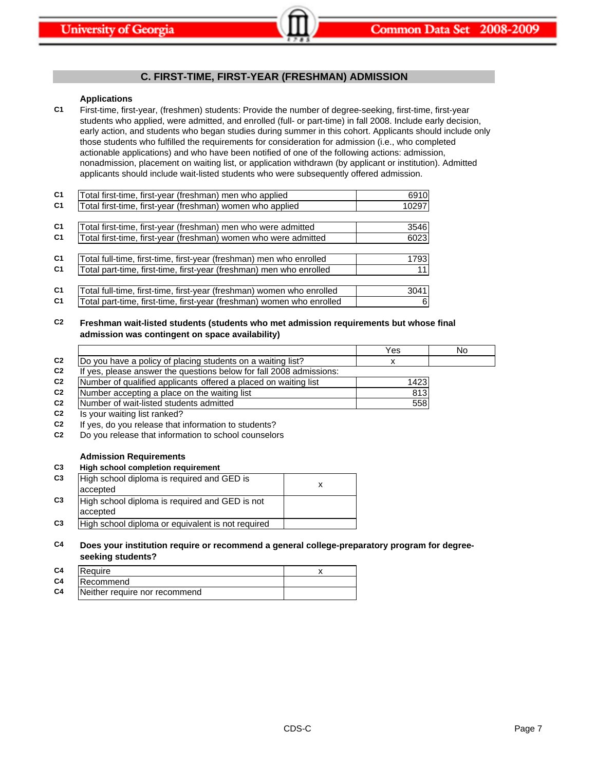# **C. FIRST-TIME, FIRST-YEAR (FRESHMAN) ADMISSION**

### **Applications**

**C1** First-time, first-year, (freshmen) students: Provide the number of degree-seeking, first-time, first-year students who applied, were admitted, and enrolled (full- or part-time) in fall 2008. Include early decision, early action, and students who began studies during summer in this cohort. Applicants should include only those students who fulfilled the requirements for consideration for admission (i.e., who completed actionable applications) and who have been notified of one of the following actions: admission, nonadmission, placement on waiting list, or application withdrawn (by applicant or institution). Admitted applicants should include wait-listed students who were subsequently offered admission.

| C <sub>1</sub> | Total first-time, first-year (freshman) men who applied               | 6910  |
|----------------|-----------------------------------------------------------------------|-------|
| C <sub>1</sub> | Total first-time, first-year (freshman) women who applied             | 10297 |
|                |                                                                       |       |
| C <sub>1</sub> | Total first-time, first-year (freshman) men who were admitted         | 3546  |
| C <sub>1</sub> | Total first-time, first-year (freshman) women who were admitted       | 6023  |
|                |                                                                       |       |
| C <sub>1</sub> | Total full-time, first-time, first-year (freshman) men who enrolled   | 1793  |
| C <sub>1</sub> | Total part-time, first-time, first-year (freshman) men who enrolled   | 11    |
|                |                                                                       |       |
| C <sub>1</sub> | Total full-time, first-time, first-year (freshman) women who enrolled | 3041  |
| C <sub>1</sub> | Total part-time, first-time, first-year (freshman) women who enrolled | 6     |

**C2 Freshman wait-listed students (students who met admission requirements but whose final admission was contingent on space availability)**

|                |                                                                     | Yes  | No |
|----------------|---------------------------------------------------------------------|------|----|
| C <sub>2</sub> | Do you have a policy of placing students on a waiting list?         | x    |    |
| C <sub>2</sub> | If yes, please answer the questions below for fall 2008 admissions: |      |    |
| C <sub>2</sub> | Number of qualified applicants offered a placed on waiting list     | 1423 |    |
| C <sub>2</sub> | Number accepting a place on the waiting list                        | 813  |    |
| C <sub>2</sub> | Number of wait-listed students admitted                             | 558  |    |
| C <sub>2</sub> | Is your waiting list ranked?                                        |      |    |
| C <sub>2</sub> | If yes, do you release that information to students?                |      |    |
| C <sub>2</sub> | Do you release that information to school counselors                |      |    |
|                |                                                                     |      |    |
|                | <b>Admission Requirements</b>                                       |      |    |

### **C3 High school completion requirement**

| C <sub>3</sub> | High school diploma is required and GED is                 | x |
|----------------|------------------------------------------------------------|---|
|                | accepted                                                   |   |
| C <sub>3</sub> | High school diploma is required and GED is not<br>accepted |   |
| C <sub>3</sub> | High school diploma or equivalent is not required          |   |
|                |                                                            |   |

### **C4 Does your institution require or recommend a general college-preparatory program for degreeseeking students?**

| C <sub>4</sub> | Require                       |  |
|----------------|-------------------------------|--|
| C4             | lRecommend                    |  |
| C4             | Neither require nor recommend |  |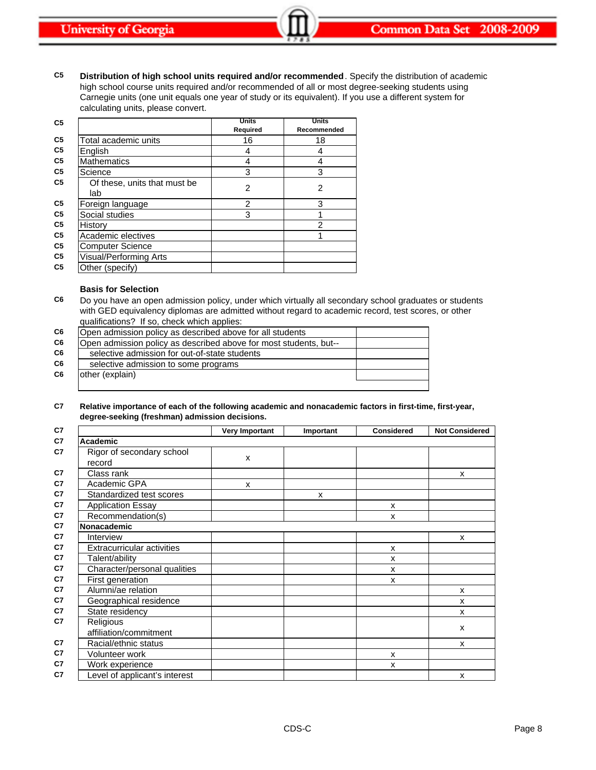**C5 Distribution of high school units required and/or recommended**. Specify the distribution of academic high school course units required and/or recommended of all or most degree-seeking students using Carnegie units (one unit equals one year of study or its equivalent). If you use a different system for calculating units, please convert.

| C <sub>5</sub> |                              | <b>Units</b> | <b>Units</b> |
|----------------|------------------------------|--------------|--------------|
|                |                              | Required     | Recommended  |
| C5             | Total academic units         | 16           | 18           |
| C5             | English                      | 4            | 4            |
| C <sub>5</sub> | <b>Mathematics</b>           | 4            | 4            |
| C5             | Science                      | 3            | 3            |
| C <sub>5</sub> | Of these, units that must be | 2            | 2            |
|                | lab                          |              |              |
| C <sub>5</sub> | Foreign language             | 2            | 3            |
| C <sub>5</sub> | Social studies               | 3            |              |
| C5             | History                      |              | 2            |
| C <sub>5</sub> | Academic electives           |              | 1            |
| C <sub>5</sub> | <b>Computer Science</b>      |              |              |
| C <sub>5</sub> | Visual/Performing Arts       |              |              |
| C <sub>5</sub> | Other (specify)              |              |              |

### **Basis for Selection**

**C6** Do you have an open admission policy, under which virtually all secondary school graduates or students with GED equivalency diplomas are admitted without regard to academic record, test scores, or other qualifications? If so, check which applies:

| C <sub>6</sub> | Open admission policy as described above for all students         |  |
|----------------|-------------------------------------------------------------------|--|
| C <sub>6</sub> | Open admission policy as described above for most students, but-- |  |
| C6             | selective admission for out-of-state students                     |  |
| C <sub>6</sub> | selective admission to some programs                              |  |
| C6             | other (explain)                                                   |  |
|                |                                                                   |  |

#### **C7 Relative importance of each of the following academic and nonacademic factors in first-time, first-year, degree-seeking (freshman) admission decisions.**

|                               | <b>Very Important</b> | Important | <b>Considered</b> | <b>Not Considered</b> |
|-------------------------------|-----------------------|-----------|-------------------|-----------------------|
| <b>Academic</b>               |                       |           |                   |                       |
| Rigor of secondary school     |                       |           |                   |                       |
| record                        | X                     |           |                   |                       |
| Class rank                    |                       |           |                   | X                     |
| Academic GPA                  | $\mathsf{x}$          |           |                   |                       |
| Standardized test scores      |                       | X         |                   |                       |
| <b>Application Essay</b>      |                       |           | X                 |                       |
| Recommendation(s)             |                       |           | X                 |                       |
| Nonacademic                   |                       |           |                   |                       |
| Interview                     |                       |           |                   | x                     |
| Extracurricular activities    |                       |           | X                 |                       |
| Talent/ability                |                       |           | x                 |                       |
| Character/personal qualities  |                       |           | X                 |                       |
| First generation              |                       |           | X                 |                       |
| Alumni/ae relation            |                       |           |                   | X                     |
| Geographical residence        |                       |           |                   | x                     |
| State residency               |                       |           |                   | x                     |
| Religious                     |                       |           |                   | X                     |
| affiliation/commitment        |                       |           |                   |                       |
| Racial/ethnic status          |                       |           |                   | X                     |
| Volunteer work                |                       |           | X                 |                       |
| Work experience               |                       |           | X                 |                       |
| Level of applicant's interest |                       |           |                   | X                     |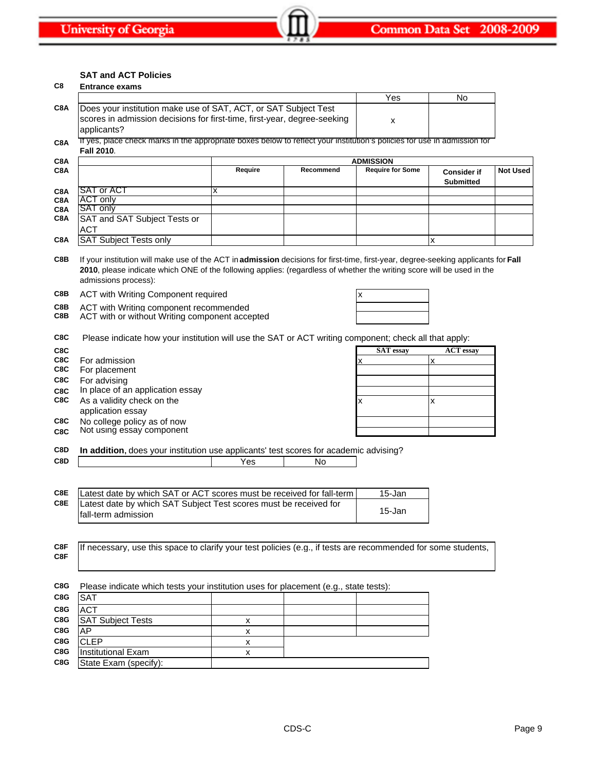### **SAT and ACT Policies**

|     | <b>SAT and ACT Policies</b>                                                                                                                                                                                                                                                          |         |           |                         |                                        |                 |
|-----|--------------------------------------------------------------------------------------------------------------------------------------------------------------------------------------------------------------------------------------------------------------------------------------|---------|-----------|-------------------------|----------------------------------------|-----------------|
| C8  | <b>Entrance exams</b>                                                                                                                                                                                                                                                                |         |           |                         |                                        |                 |
|     |                                                                                                                                                                                                                                                                                      |         |           | Yes                     | No                                     |                 |
| C8A | Does your institution make use of SAT, ACT, or SAT Subject Test                                                                                                                                                                                                                      |         |           |                         |                                        |                 |
|     | scores in admission decisions for first-time, first-year, degree-seeking                                                                                                                                                                                                             |         |           | x                       |                                        |                 |
|     | applicants?                                                                                                                                                                                                                                                                          |         |           |                         |                                        |                 |
| C8A | If yes, place check marks in the appropriate boxes below to reflect your institution's policies for use in admission for                                                                                                                                                             |         |           |                         |                                        |                 |
|     | Fall 2010.                                                                                                                                                                                                                                                                           |         |           |                         |                                        |                 |
| C8A |                                                                                                                                                                                                                                                                                      |         |           | <b>ADMISSION</b>        |                                        |                 |
| C8A |                                                                                                                                                                                                                                                                                      | Require | Recommend | <b>Require for Some</b> | <b>Consider if</b><br><b>Submitted</b> | <b>Not Used</b> |
| C8A | <b>SAT or ACT</b>                                                                                                                                                                                                                                                                    | x       |           |                         |                                        |                 |
| C8A | ACT only                                                                                                                                                                                                                                                                             |         |           |                         |                                        |                 |
| C8A | SAT only                                                                                                                                                                                                                                                                             |         |           |                         |                                        |                 |
| C8A | SAT and SAT Subject Tests or                                                                                                                                                                                                                                                         |         |           |                         |                                        |                 |
|     | <b>ACT</b>                                                                                                                                                                                                                                                                           |         |           |                         |                                        |                 |
| C8A | <b>SAT Subject Tests only</b>                                                                                                                                                                                                                                                        |         |           |                         | x                                      |                 |
| C8B | If your institution will make use of the ACT in admission decisions for first-time, first-year, degree-seeking applicants for Fall<br>2010, please indicate which ONE of the following applies: (regardless of whether the writing score will be used in the<br>admissions process): |         |           |                         |                                        |                 |
| C8B | ACT with Writing Component required                                                                                                                                                                                                                                                  |         |           | X                       |                                        |                 |
| C8B | ACT with Writing component recommended                                                                                                                                                                                                                                               |         |           |                         |                                        |                 |
| C8B | ACT with or without Writing component accepted                                                                                                                                                                                                                                       |         |           |                         |                                        |                 |
|     |                                                                                                                                                                                                                                                                                      |         |           |                         |                                        |                 |
| C8C | Please indicate how your institution will use the SAT or ACT writing component; check all that apply:                                                                                                                                                                                |         |           |                         |                                        |                 |
| C8C |                                                                                                                                                                                                                                                                                      |         |           | <b>SAT</b> essay        | <b>ACT</b> essay                       |                 |
| C8C | For admission                                                                                                                                                                                                                                                                        |         |           |                         | x                                      |                 |
| C8C | For placement                                                                                                                                                                                                                                                                        |         |           |                         |                                        |                 |
| C8C | For advising                                                                                                                                                                                                                                                                         |         |           |                         |                                        |                 |
| C8C | In place of an application essay                                                                                                                                                                                                                                                     |         |           |                         |                                        |                 |
| C8C | As a validity check on the                                                                                                                                                                                                                                                           |         |           | X                       | x                                      |                 |
|     | application essay                                                                                                                                                                                                                                                                    |         |           |                         |                                        |                 |
| C8C | No college policy as of now                                                                                                                                                                                                                                                          |         |           |                         |                                        |                 |
| C8C | Not using essay component                                                                                                                                                                                                                                                            |         |           |                         |                                        |                 |
| C8D | In addition, does your institution use applicants' test scores for academic advising?                                                                                                                                                                                                |         |           |                         |                                        |                 |
| C8D |                                                                                                                                                                                                                                                                                      | Yes     | No        |                         |                                        |                 |
|     |                                                                                                                                                                                                                                                                                      |         |           |                         |                                        |                 |
|     |                                                                                                                                                                                                                                                                                      |         |           |                         |                                        |                 |
| C8E | Latest date by which SAT or ACT scores must be received for fall-term                                                                                                                                                                                                                |         |           | 15-Jan                  |                                        |                 |
| C8E | Latest date by which SAT Subject Test scores must be received for                                                                                                                                                                                                                    |         |           |                         |                                        |                 |
|     | fall-term admission                                                                                                                                                                                                                                                                  |         |           | 15-Jan                  |                                        |                 |
|     |                                                                                                                                                                                                                                                                                      |         |           |                         |                                        |                 |
|     |                                                                                                                                                                                                                                                                                      |         |           |                         |                                        |                 |
| C8F | If necessary, use this space to clarify your test policies (e.g., if tests are recommended for some students,                                                                                                                                                                        |         |           |                         |                                        |                 |
| C8F |                                                                                                                                                                                                                                                                                      |         |           |                         |                                        |                 |
|     |                                                                                                                                                                                                                                                                                      |         |           |                         |                                        |                 |
|     |                                                                                                                                                                                                                                                                                      |         |           |                         |                                        |                 |
| C8G | Please indicate which tests your institution uses for placement (e.g., state tests):                                                                                                                                                                                                 |         |           |                         |                                        |                 |
| C8G | <b>SAT</b>                                                                                                                                                                                                                                                                           |         |           |                         |                                        |                 |
| C8G | <b>ACT</b>                                                                                                                                                                                                                                                                           |         |           |                         |                                        |                 |
| C8G | <b>SAT Subject Tests</b>                                                                                                                                                                                                                                                             | x       |           |                         |                                        |                 |
| C8G | AP                                                                                                                                                                                                                                                                                   | х       |           |                         |                                        |                 |
| C8G | <b>CLEP</b>                                                                                                                                                                                                                                                                          | X       |           |                         |                                        |                 |
| C8G | <b>Institutional Exam</b>                                                                                                                                                                                                                                                            | х       |           |                         |                                        |                 |
| C8G | State Exam (specify):                                                                                                                                                                                                                                                                |         |           |                         |                                        |                 |
|     |                                                                                                                                                                                                                                                                                      |         |           |                         |                                        |                 |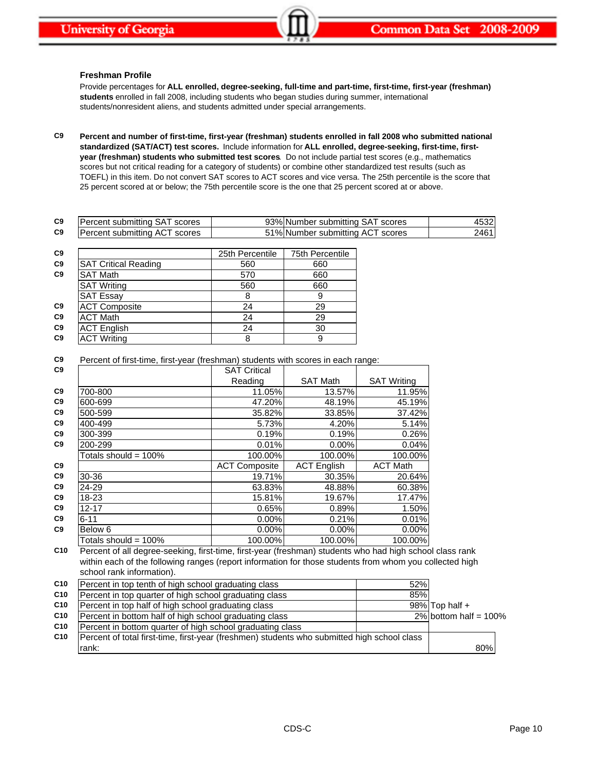## **Freshman Profile**

Provide percentages for **ALL enrolled, degree-seeking, full-time and part-time, first-time, first-year (freshman) students** enrolled in fall 2008, including students who began studies during summer, international students/nonresident aliens, and students admitted under special arrangements.

**C9 Percent and number of first-time, first-year (freshman) students enrolled in fall 2008 who submitted national standardized (SAT/ACT) test scores.** Include information for **ALL enrolled, degree-seeking, first-time, firstyear (freshman) students who submitted test scores**. Do not include partial test scores (e.g., mathematics scores but not critical reading for a category of students) or combine other standardized test results (such as TOEFL) in this item. Do not convert SAT scores to ACT scores and vice versa. The 25th percentile is the score that 25 percent scored at or below; the 75th percentile score is the one that 25 percent scored at or above.

| C <sub>9</sub> | scores<br>submitting<br>rcen.<br>ΉП                | 23%<br>scores<br>INumber<br>. submitting<br>⊬د<br>ອວ           | $\sqrt{2}$<br>™ |
|----------------|----------------------------------------------------|----------------------------------------------------------------|-----------------|
| C <sub>9</sub> | scores<br>submitting<br>AΙ<br>rcen.<br>$_{\rm eV}$ | ີ <sup>10</sup> ⁄o.<br>scores<br>،INumber<br>≅submittina<br>Aι | 2461            |

| C <sub>9</sub> |                             | 25th Percentile | <b>75th Percentile</b> |
|----------------|-----------------------------|-----------------|------------------------|
| C <sub>9</sub> | <b>SAT Critical Reading</b> | 560             | 660                    |
| C <sub>9</sub> | <b>SAT Math</b>             | 570             | 660                    |
|                | <b>SAT Writing</b>          | 560             | 660                    |
|                | <b>SAT Essay</b>            | 8               | 9                      |
| C <sub>9</sub> | <b>ACT Composite</b>        | 24              | 29                     |
| C <sub>9</sub> | <b>ACT Math</b>             | 24              | 29                     |
| C <sub>9</sub> | <b>ACT English</b>          | 24              | 30                     |
| C <sub>9</sub> | <b>ACT Writing</b>          | 8               | 9                      |

| C9 |  |  |  |  | Percent of first-time, first-year (freshman) students with scores in each range: |
|----|--|--|--|--|----------------------------------------------------------------------------------|
|----|--|--|--|--|----------------------------------------------------------------------------------|

| C <sub>9</sub> |                         | <b>SAT Critical</b>  |                    |                    |
|----------------|-------------------------|----------------------|--------------------|--------------------|
|                |                         | Reading              | <b>SAT Math</b>    | <b>SAT Writing</b> |
| C <sub>9</sub> | 700-800                 | 11.05%               | 13.57%             | 11.95%             |
| C <sub>9</sub> | 600-699                 | 47.20%               | 48.19%             | 45.19%             |
| C <sub>9</sub> | 500-599                 | 35.82%               | 33.85%             | 37.42%             |
| C <sub>9</sub> | 400-499                 | 5.73%                | 4.20%              | 5.14%              |
| C <sub>9</sub> | 300-399                 | 0.19%                | 0.19%              | 0.26%              |
| C <sub>9</sub> | 200-299                 | 0.01%                | $0.00\%$           | 0.04%              |
|                | Totals should = $100\%$ | 100.00%              | 100.00%            | 100.00%            |
| C <sub>9</sub> |                         | <b>ACT Composite</b> | <b>ACT English</b> | <b>ACT Math</b>    |
| C9             | 30-36                   | 19.71%               | 30.35%             | 20.64%             |
| C <sub>9</sub> | 24-29                   | 63.83%               | 48.88%             | 60.38%             |
| C <sub>9</sub> | 18-23                   | 15.81%               | 19.67%             | 17.47%             |
| C <sub>9</sub> | $12 - 17$               | 0.65%                | 0.89%              | 1.50%              |
| C <sub>9</sub> | $6 - 11$                | $0.00\%$             | 0.21%              | 0.01%              |
| C <sub>9</sub> | Below 6                 | $0.00\%$             | $0.00\%$           | 0.00%              |
|                | Totals should = $100\%$ | 100.00%              | 100.00%            | 100.00%            |

**C10** Percent of all degree-seeking, first-time, first-year (freshman) students who had high school class rank within each of the following ranges (report information for those students from whom you collected high school rank information).

| C10 | Percent in top tenth of high school graduating class                                        | 52% |                          |  |
|-----|---------------------------------------------------------------------------------------------|-----|--------------------------|--|
| C10 | Percent in top quarter of high school graduating class                                      | 85% |                          |  |
| C10 | Percent in top half of high school graduating class                                         |     | $98\%$ Top half +        |  |
| C10 | Percent in bottom half of high school graduating class                                      |     | $2\%$ bottom half = 100% |  |
| C10 | Percent in bottom quarter of high school graduating class                                   |     |                          |  |
| C10 | Percent of total first-time, first-year (freshmen) students who submitted high school class |     |                          |  |
|     | rank:                                                                                       |     | 80%                      |  |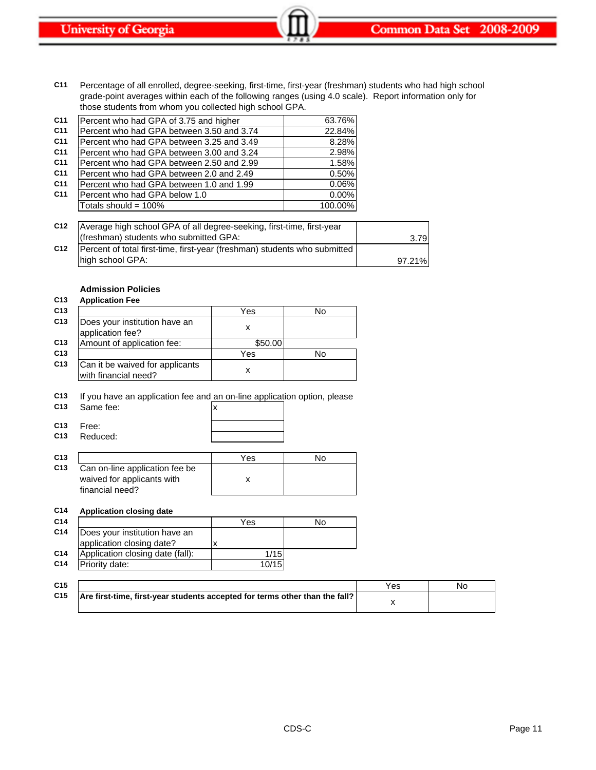**C11** Percentage of all enrolled, degree-seeking, first-time, first-year (freshman) students who had high school grade-point averages within each of the following ranges (using 4.0 scale). Report information only for those students from whom you collected high school GPA.

| C <sub>11</sub> | Percent who had GPA of 3.75 and higher    | 63.76%  |
|-----------------|-------------------------------------------|---------|
| C <sub>11</sub> | Percent who had GPA between 3.50 and 3.74 | 22.84%  |
| C <sub>11</sub> | Percent who had GPA between 3.25 and 3.49 | 8.28%   |
| C <sub>11</sub> | Percent who had GPA between 3.00 and 3.24 | 2.98%   |
| C <sub>11</sub> | Percent who had GPA between 2.50 and 2.99 | 1.58%   |
| C <sub>11</sub> | Percent who had GPA between 2.0 and 2.49  | 0.50%   |
| C <sub>11</sub> | Percent who had GPA between 1.0 and 1.99  | 0.06%   |
| C <sub>11</sub> | Percent who had GPA below 1.0             | 0.00%   |
|                 | Totals should = $100\%$                   | 100.00% |

| C <sub>12</sub> | Average high school GPA of all degree-seeking, first-time, first-year     |        |
|-----------------|---------------------------------------------------------------------------|--------|
|                 | (freshman) students who submitted GPA:                                    | 3.79   |
| C <sub>12</sub> | Percent of total first-time, first-year (freshman) students who submitted |        |
|                 | high school GPA:                                                          | 97.21% |

# **Admission Policies**

## **C13 Application Fee C13** Yes No **C13** Does your institution have an boes your institution have all x x application fee? **C13** Amount of application fee: \[\] **C13** Yes No **C13** Can it be waived for applicants with financial need?

**C13** If you have an application fee and an on-line application option, please

| C <sub>13</sub> | Same fee: |  |
|-----------------|-----------|--|
|                 |           |  |

**C13** Free:

| ᆺ |  |  |  |
|---|--|--|--|
|   |  |  |  |

**C13** Reduced:

|                                                                                 | Yes | Nο |
|---------------------------------------------------------------------------------|-----|----|
| Can on-line application fee be<br>waived for applicants with<br>financial need? |     |    |

### **C14 Application closing date**

| C <sub>14</sub> |                                  | Yes   | No |
|-----------------|----------------------------------|-------|----|
| C <sub>14</sub> | Does your institution have an    |       |    |
|                 | application closing date?        |       |    |
| C <sub>14</sub> | Application closing date (fall): | 1/15  |    |
| C <sub>14</sub> | Priority date:                   | 10/15 |    |

| C <sub>15</sub> |                                                                             | Yes | No |
|-----------------|-----------------------------------------------------------------------------|-----|----|
| C <sub>15</sub> | Are first-time, first-year students accepted for terms other than the fall? |     |    |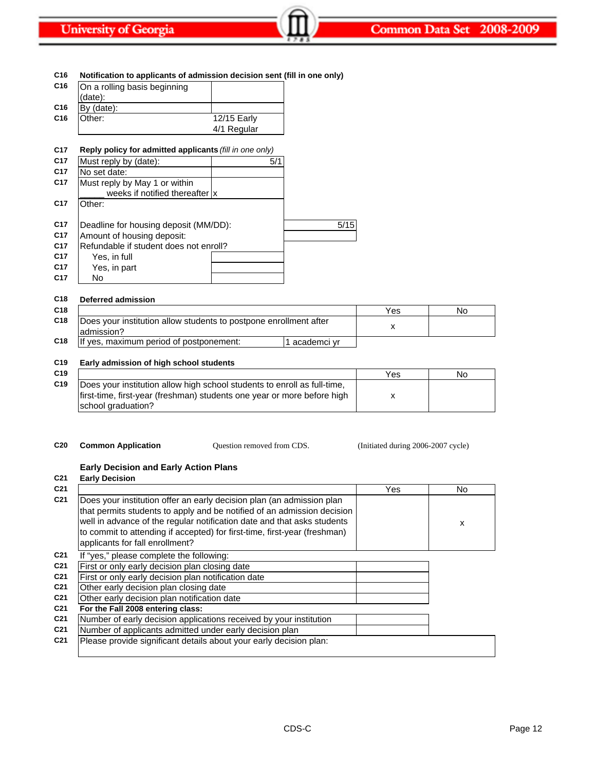| Notification to applicants of admission decision sent (fill in one only) |             |      |
|--------------------------------------------------------------------------|-------------|------|
| On a rolling basis beginning                                             |             |      |
| (date):                                                                  |             |      |
| By (date):                                                               |             |      |
| Other:                                                                   | 12/15 Early |      |
|                                                                          | 4/1 Regular |      |
|                                                                          |             |      |
| Reply policy for admitted applicants (fill in one only)                  |             |      |
| Must reply by (date):                                                    | 5/1         |      |
| No set date:                                                             |             |      |
| Must reply by May 1 or within                                            |             |      |
| weeks if notified thereafter  x                                          |             |      |
| Other:                                                                   |             |      |
| Deadline for housing deposit (MM/DD):                                    |             | 5/15 |
| Amount of housing deposit:                                               |             |      |
| Refundable if student does not enroll?                                   |             |      |
| Yes, in full                                                             |             |      |
| Yes, in part                                                             |             |      |
|                                                                          |             |      |

| C <sub>18</sub> | Deferred admission                                                               |     |    |
|-----------------|----------------------------------------------------------------------------------|-----|----|
| C <sub>18</sub> |                                                                                  | Yes | No |
| C <sub>18</sub> | Does your institution allow students to postpone enrollment after<br>ladmission? |     |    |
| C <sub>18</sub> | If yes, maximum period of postponement:<br>academci vr                           |     |    |

# **C19 Early admission of high school students**

| C <sub>19</sub> |                                                                                                                                                                           | Yes | Νo |
|-----------------|---------------------------------------------------------------------------------------------------------------------------------------------------------------------------|-----|----|
| C <sub>19</sub> | Does your institution allow high school students to enroll as full-time,<br>first-time, first-year (freshman) students one year or more before high<br>school graduation? |     |    |

Question removed from CDS.

**C20 Common Application C20** Common **Application C20 C** Question removed from CDS. (Initiated during 2006-2007 cycle)

# **Early Decision and Early Action Plans**

| C <sub>21</sub> | <b>Early Decision</b>                                                                                                                                                                                                                                                                                                                       |     |     |
|-----------------|---------------------------------------------------------------------------------------------------------------------------------------------------------------------------------------------------------------------------------------------------------------------------------------------------------------------------------------------|-----|-----|
| C <sub>21</sub> |                                                                                                                                                                                                                                                                                                                                             | Yes | No. |
| C <sub>21</sub> | Does your institution offer an early decision plan (an admission plan<br>that permits students to apply and be notified of an admission decision<br>well in advance of the regular notification date and that asks students<br>to commit to attending if accepted) for first-time, first-year (freshman)<br>applicants for fall enrollment? |     | X   |
| C <sub>21</sub> | If "yes," please complete the following:                                                                                                                                                                                                                                                                                                    |     |     |
| C <sub>21</sub> | First or only early decision plan closing date                                                                                                                                                                                                                                                                                              |     |     |
| C <sub>21</sub> | First or only early decision plan notification date                                                                                                                                                                                                                                                                                         |     |     |
| C <sub>21</sub> | Other early decision plan closing date                                                                                                                                                                                                                                                                                                      |     |     |
| C <sub>21</sub> | Other early decision plan notification date                                                                                                                                                                                                                                                                                                 |     |     |
| C <sub>21</sub> | For the Fall 2008 entering class:                                                                                                                                                                                                                                                                                                           |     |     |
| C <sub>21</sub> | Number of early decision applications received by your institution                                                                                                                                                                                                                                                                          |     |     |
| C <sub>21</sub> | Number of applicants admitted under early decision plan                                                                                                                                                                                                                                                                                     |     |     |
| C <sub>21</sub> | Please provide significant details about your early decision plan:                                                                                                                                                                                                                                                                          |     |     |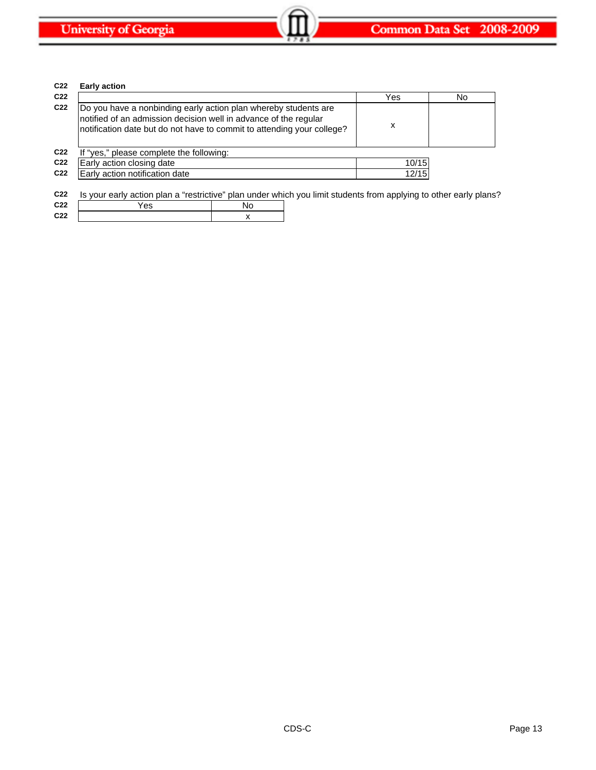**C22** x

| C <sub>22</sub> | <b>Early action</b>                                                                                                                                                                                           |    |       |    |
|-----------------|---------------------------------------------------------------------------------------------------------------------------------------------------------------------------------------------------------------|----|-------|----|
| C <sub>22</sub> |                                                                                                                                                                                                               |    | Yes   | No |
| C <sub>22</sub> | Do you have a nonbinding early action plan whereby students are<br>notified of an admission decision well in advance of the regular<br>notification date but do not have to commit to attending your college? |    | х     |    |
| C <sub>22</sub> | If "yes," please complete the following:                                                                                                                                                                      |    |       |    |
| C <sub>22</sub> | Early action closing date                                                                                                                                                                                     |    | 10/15 |    |
| C <sub>22</sub> | Early action notification date                                                                                                                                                                                |    | 12/15 |    |
| C <sub>22</sub> | Is your early action plan a "restrictive" plan under which you limit students from applying to other early plans?                                                                                             |    |       |    |
| C <sub>22</sub> | Yes                                                                                                                                                                                                           | No |       |    |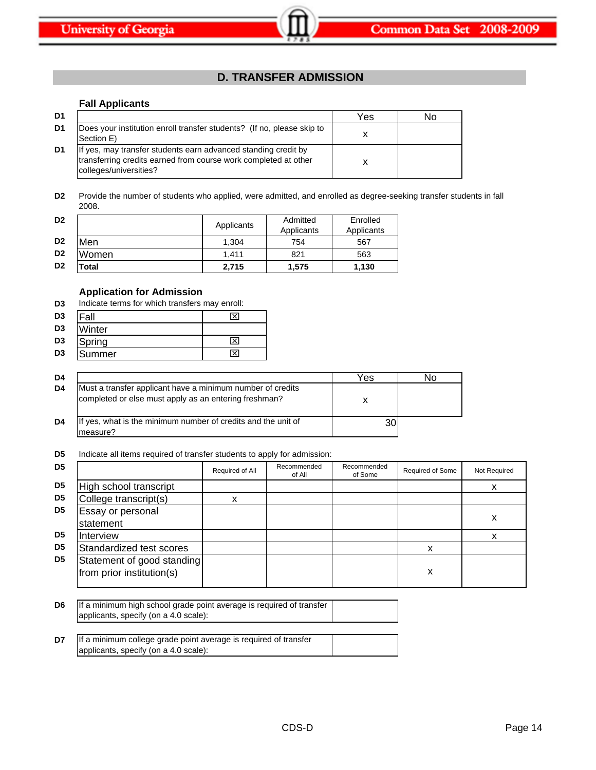# **D. TRANSFER ADMISSION**

# **Fall Applicants**

| D1 |                                                                                                                                                             | Yes | N٥ |
|----|-------------------------------------------------------------------------------------------------------------------------------------------------------------|-----|----|
| D1 | Does your institution enroll transfer students? (If no, please skip to<br>Section E)                                                                        |     |    |
| D1 | If yes, may transfer students earn advanced standing credit by<br>transferring credits earned from course work completed at other<br>colleges/universities? |     |    |

**D2** Provide the number of students who applied, were admitted, and enrolled as degree-seeking transfer students in fall 2008.

| D <sub>2</sub> |       | Applicants | Admitted<br>Applicants | Enrolled<br>Applicants |
|----------------|-------|------------|------------------------|------------------------|
| D <sub>2</sub> | Men   | 1.304      | 754                    | 567                    |
| D <sub>2</sub> | Women | 1.411      | 821                    | 563                    |
| D <sub>2</sub> | ⊺otal | 2,715      | 1.575                  | 1.130                  |

# **Application for Admission**

| D3 | Indicate terms for which transfers may enroll: |  |
|----|------------------------------------------------|--|
|----|------------------------------------------------|--|

| D <sub>3</sub> | Fall           |                         |
|----------------|----------------|-------------------------|
| D <sub>3</sub> | Winter         |                         |
| D <sub>3</sub> | Spring         | ×                       |
| D <sub>3</sub> | <b>ISummer</b> | $\overline{\mathsf{x}}$ |

| D4 |                                                                                                                     | Yes | חמ |
|----|---------------------------------------------------------------------------------------------------------------------|-----|----|
| D4 | Must a transfer applicant have a minimum number of credits<br>completed or else must apply as an entering freshman? |     |    |
| D4 | If yes, what is the minimum number of credits and the unit of<br>measure?                                           |     |    |

**D5** Indicate all items required of transfer students to apply for admission:

| D <sub>5</sub> |                                                         | Required of All | Recommended<br>of All | Recommended<br>of Some | <b>Required of Some</b> | Not Required |
|----------------|---------------------------------------------------------|-----------------|-----------------------|------------------------|-------------------------|--------------|
| D <sub>5</sub> | High school transcript                                  |                 |                       |                        |                         | х            |
| D <sub>5</sub> | College transcript(s)                                   | X               |                       |                        |                         |              |
| D <sub>5</sub> | Essay or personal<br>statement                          |                 |                       |                        |                         | x            |
| D <sub>5</sub> | Interview                                               |                 |                       |                        |                         |              |
| D <sub>5</sub> | Standardized test scores                                |                 |                       |                        | x                       |              |
| D <sub>5</sub> | Statement of good standing<br>from prior institution(s) |                 |                       |                        | х                       |              |

| D <sub>6</sub> | If a minimum high school grade point average is required of transfer |  |
|----------------|----------------------------------------------------------------------|--|
|                | applicants, specify (on a 4.0 scale):                                |  |
|                |                                                                      |  |

| D7 | If a minimum college grade point average is required of transfer |  |
|----|------------------------------------------------------------------|--|
|    | applicants, specify (on a 4.0 scale):                            |  |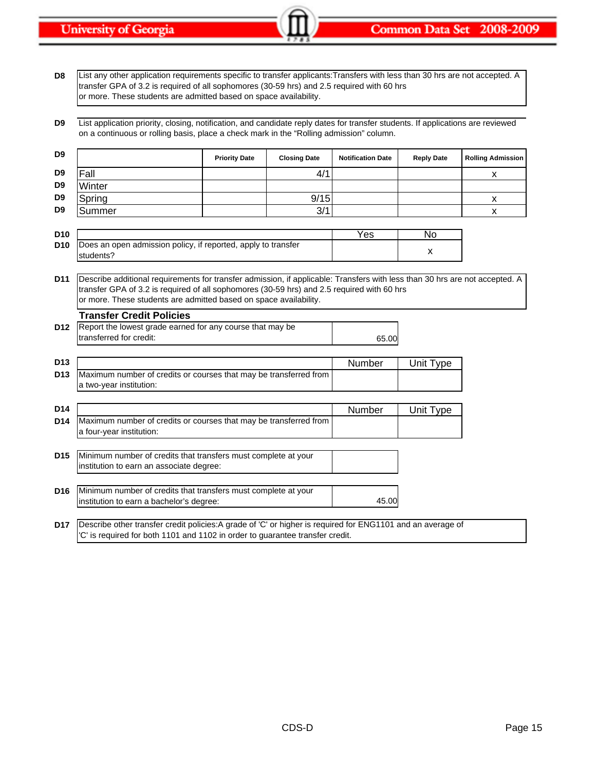**D8** List any other application requirements specific to transfer applicants:Transfers with less than 30 hrs are not accepted. A transfer GPA of 3.2 is required of all sophomores (30-59 hrs) and 2.5 required with 60 hrs or more. These students are admitted based on space availability.

**D9** List application priority, closing, notification, and candidate reply dates for transfer students. If applications are reviewed on a continuous or rolling basis, place a check mark in the "Rolling admission" column.

|                 |                                                                                                                             | <b>Priority Date</b> | <b>Closing Date</b> | <b>Notification Date</b> | <b>Reply Date</b> | <b>Rolling Admission</b> |
|-----------------|-----------------------------------------------------------------------------------------------------------------------------|----------------------|---------------------|--------------------------|-------------------|--------------------------|
| D <sub>9</sub>  | Fall                                                                                                                        |                      | 4/1                 |                          |                   | X                        |
| D <sub>9</sub>  | Winter                                                                                                                      |                      |                     |                          |                   |                          |
| D <sub>9</sub>  | Spring                                                                                                                      |                      | 9/15                |                          |                   | X                        |
| D9              | Summer                                                                                                                      |                      | 3/1                 |                          |                   | X                        |
|                 |                                                                                                                             |                      |                     |                          |                   |                          |
| D <sub>10</sub> |                                                                                                                             |                      |                     | Yes                      | No                |                          |
| D <sub>10</sub> | Does an open admission policy, if reported, apply to transfer<br>students?                                                  |                      |                     |                          | x                 |                          |
|                 |                                                                                                                             |                      |                     |                          |                   |                          |
| D <sub>11</sub> | Describe additional requirements for transfer admission, if applicable: Transfers with less than 30 hrs are not accepted. A |                      |                     |                          |                   |                          |
|                 | transfer GPA of 3.2 is required of all sophomores (30-59 hrs) and 2.5 required with 60 hrs                                  |                      |                     |                          |                   |                          |
|                 | or more. These students are admitted based on space availability.                                                           |                      |                     |                          |                   |                          |
|                 | <b>Transfer Credit Policies</b>                                                                                             |                      |                     |                          |                   |                          |
| D <sub>12</sub> | Report the lowest grade earned for any course that may be                                                                   |                      |                     |                          |                   |                          |
|                 | transferred for credit:                                                                                                     |                      |                     | 65.00                    |                   |                          |
|                 |                                                                                                                             |                      |                     |                          |                   |                          |
|                 |                                                                                                                             |                      |                     |                          |                   |                          |
| D <sub>13</sub> |                                                                                                                             |                      |                     | Number                   | Unit Type         |                          |
| D <sub>13</sub> | Maximum number of credits or courses that may be transferred from                                                           |                      |                     |                          |                   |                          |
|                 | a two-year institution:                                                                                                     |                      |                     |                          |                   |                          |
|                 |                                                                                                                             |                      |                     |                          |                   |                          |
| D <sub>14</sub> |                                                                                                                             |                      |                     | <b>Number</b>            | Unit Type         |                          |
| D <sub>14</sub> | Maximum number of credits or courses that may be transferred from<br>a four-year institution:                               |                      |                     |                          |                   |                          |
|                 |                                                                                                                             |                      |                     |                          |                   |                          |
| D <sub>15</sub> | Minimum number of credits that transfers must complete at your                                                              |                      |                     |                          |                   |                          |
|                 | institution to earn an associate degree:                                                                                    |                      |                     |                          |                   |                          |
|                 |                                                                                                                             |                      |                     |                          |                   |                          |
| D <sub>16</sub> | Minimum number of credits that transfers must complete at your                                                              |                      |                     |                          |                   |                          |
|                 | institution to earn a bachelor's degree:                                                                                    |                      |                     | 45.00                    |                   |                          |
| D <sub>17</sub> | Describe other transfer credit policies:A grade of 'C' or higher is required for ENG1101 and an average of                  |                      |                     |                          |                   |                          |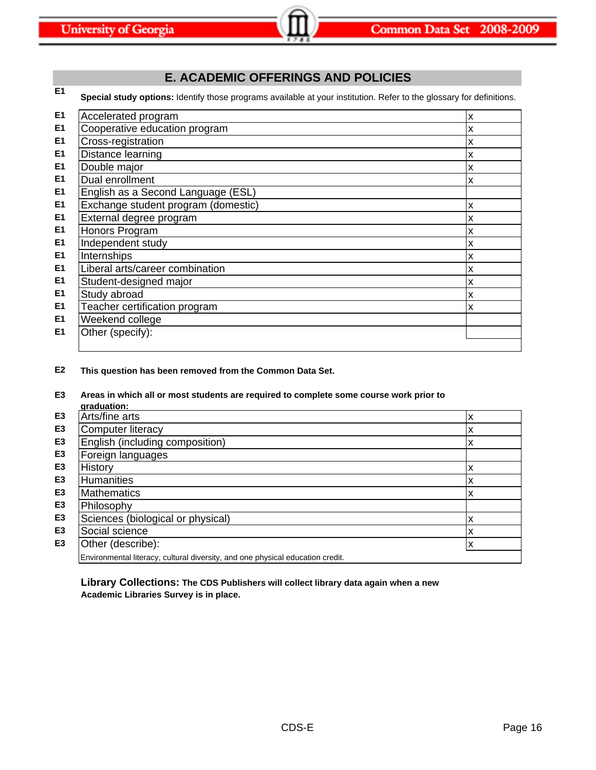# **E. ACADEMIC OFFERINGS AND POLICIES**

**E1 Special study options:** Identify those programs available at your institution. Refer to the glossary for definitions.

| E <sub>1</sub> | Accelerated program                 | X  |
|----------------|-------------------------------------|----|
| E <sub>1</sub> | Cooperative education program       | X  |
| E <sub>1</sub> | Cross-registration                  | X  |
| E1             | Distance learning                   | X  |
| E <sub>1</sub> | Double major                        | X  |
| E1             | Dual enrollment                     | X  |
| E <sub>1</sub> | English as a Second Language (ESL)  |    |
| E <sub>1</sub> | Exchange student program (domestic) | X  |
| E <sub>1</sub> | External degree program             | X  |
| E <sub>1</sub> | Honors Program                      | X  |
| E <sub>1</sub> | Independent study                   | X  |
| E <sub>1</sub> | Internships                         | ΙX |
| E <sub>1</sub> | Liberal arts/career combination     | X  |
| E <sub>1</sub> | Student-designed major              | X  |
| E <sub>1</sub> | Study abroad                        | х  |
| E <sub>1</sub> | Teacher certification program       | x  |
| E <sub>1</sub> | Weekend college                     |    |
| E1             | Other (specify):                    |    |
|                |                                     |    |

**E2 This question has been removed from the Common Data Set.**

# **E3 Areas in which all or most students are required to complete some course work prior to**

|                | araduation:                                                                    |   |
|----------------|--------------------------------------------------------------------------------|---|
| E <sub>3</sub> | Arts/fine arts                                                                 | х |
| E <sub>3</sub> | Computer literacy                                                              | х |
| E <sub>3</sub> | English (including composition)                                                | х |
| E <sub>3</sub> | Foreign languages                                                              |   |
| E <sub>3</sub> | <b>History</b>                                                                 | х |
| E <sub>3</sub> | <b>Humanities</b>                                                              | х |
| E <sub>3</sub> | <b>Mathematics</b>                                                             | х |
| E <sub>3</sub> | Philosophy                                                                     |   |
| E <sub>3</sub> | Sciences (biological or physical)                                              | х |
| E <sub>3</sub> | Social science                                                                 | х |
| E <sub>3</sub> | Other (describe):                                                              | x |
|                | Environmental literacy, cultural diversity, and one physical education credit. |   |

**Library Collections: The CDS Publishers will collect library data again when a new Academic Libraries Survey is in place.**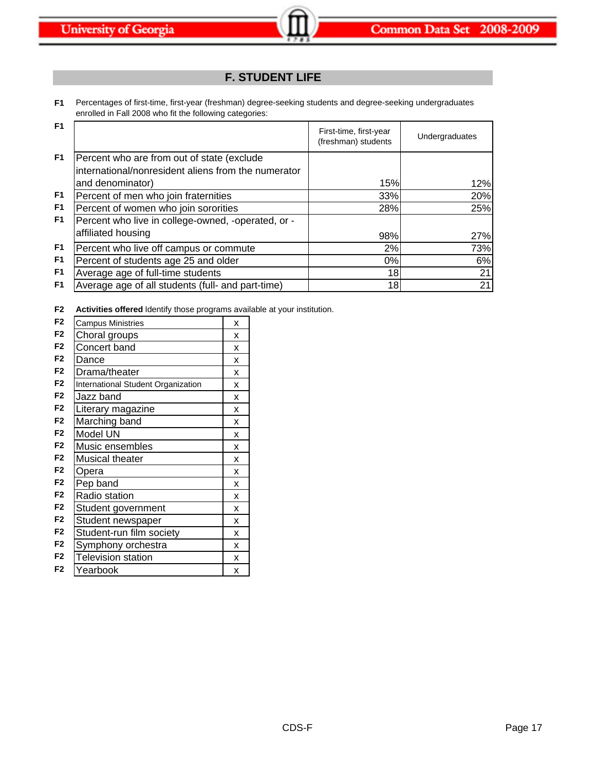# **F. STUDENT LIFE**

**F1** Percentages of first-time, first-year (freshman) degree-seeking students and degree-seeking undergraduates enrolled in Fall 2008 who fit the following categories:

| F <sub>1</sub> |                                                                                                   | First-time, first-year<br>(freshman) students | Undergraduates |
|----------------|---------------------------------------------------------------------------------------------------|-----------------------------------------------|----------------|
| F <sub>1</sub> | Percent who are from out of state (exclude<br>international/nonresident aliens from the numerator |                                               |                |
|                | and denominator)                                                                                  | 15%                                           | 12%            |
| F <sub>1</sub> | Percent of men who join fraternities                                                              | 33%                                           | 20%            |
| F <sub>1</sub> | Percent of women who join sororities                                                              | 28%                                           | 25%            |
| F <sub>1</sub> | Percent who live in college-owned, -operated, or -<br>affiliated housing                          |                                               |                |
|                |                                                                                                   | 98%                                           | 27%            |
| F <sub>1</sub> | Percent who live off campus or commute                                                            | 2%                                            | 73%            |
| F <sub>1</sub> | Percent of students age 25 and older                                                              | 0%                                            | 6%             |
| F <sub>1</sub> | Average age of full-time students                                                                 | 18 <sup>l</sup>                               | 21             |
| F <sub>1</sub> | Average age of all students (full- and part-time)                                                 | 18                                            | 21             |

**F2 Activities offered** Identify those programs available at your institution.

| F <sub>2</sub> | <b>Campus Ministries</b>           | X |
|----------------|------------------------------------|---|
| F <sub>2</sub> | Choral groups                      | X |
| F <sub>2</sub> | Concert band                       | x |
| F <sub>2</sub> | Dance                              | X |
| F <sub>2</sub> | Drama/theater                      | X |
| F <sub>2</sub> | International Student Organization | X |
| F <sub>2</sub> | Jazz band                          | X |
| F <sub>2</sub> | Literary magazine                  | X |
| F <sub>2</sub> | Marching band                      | x |
| F <sub>2</sub> | Model UN                           | X |
| F <sub>2</sub> | Music ensembles                    | X |
| F <sub>2</sub> | Musical theater                    | X |
| F <sub>2</sub> | Opera                              | x |
| F <sub>2</sub> | Pep band                           | x |
| F <sub>2</sub> | Radio station                      | X |
| F <sub>2</sub> | Student government                 | x |
| F <sub>2</sub> | Student newspaper                  | X |
| F <sub>2</sub> | Student-run film society           | X |
| F <sub>2</sub> | Symphony orchestra                 | X |
| F <sub>2</sub> | <b>Television station</b>          | X |
| F <sub>2</sub> | Yearbook                           | X |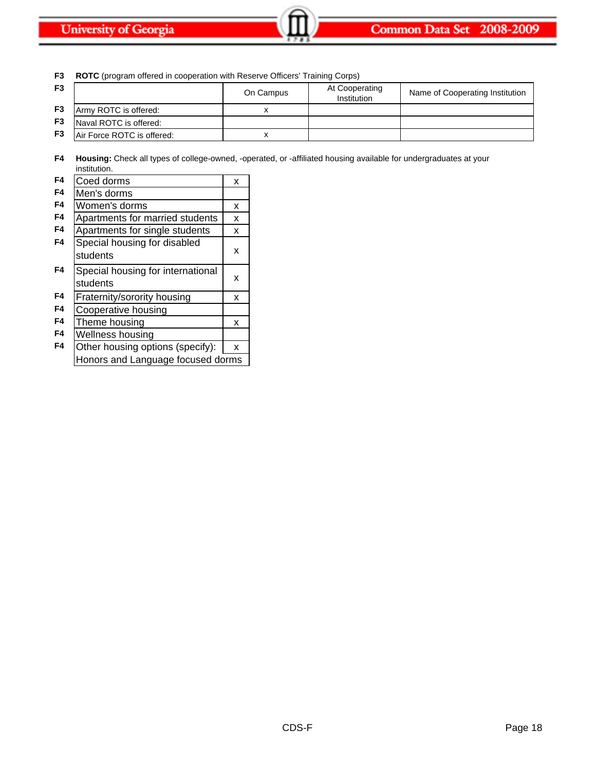| F3             | <b>ROTC</b> (program offered in cooperation with Reserve Officers' Training Corps) |           |                                      |                                 |  |
|----------------|------------------------------------------------------------------------------------|-----------|--------------------------------------|---------------------------------|--|
| F <sub>3</sub> |                                                                                    | On Campus | At Cooperating<br><b>Institution</b> | Name of Cooperating Institution |  |
| F <sub>3</sub> | Army ROTC is offered:                                                              |           |                                      |                                 |  |
| F <sub>3</sub> | Naval ROTC is offered:                                                             |           |                                      |                                 |  |
| F <sub>3</sub> | Air Force ROTC is offered:                                                         |           |                                      |                                 |  |

**F4 Housing:** Check all types of college-owned, -operated, or -affiliated housing available for undergraduates at your institution.

| F4 | Coed dorms                                    | x |
|----|-----------------------------------------------|---|
| F4 | Men's dorms                                   |   |
| F4 | Women's dorms                                 | x |
| F4 | Apartments for married students               | X |
| F4 | Apartments for single students                | х |
| F4 | Special housing for disabled<br>students      | x |
| F4 | Special housing for international<br>students | x |
| F4 | Fraternity/sorority housing                   | x |
| F4 | Cooperative housing                           |   |
| F4 | Theme housing                                 | x |
| F4 | Wellness housing                              |   |
| F4 | Other housing options (specify):              | x |
|    | Honors and Language focused dorms             |   |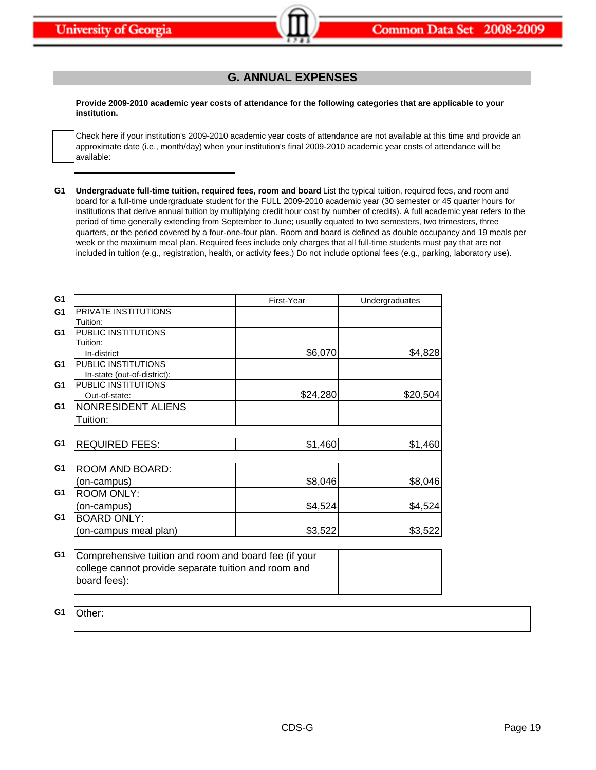# **G. ANNUAL EXPENSES**

**Provide 2009-2010 academic year costs of attendance for the following categories that are applicable to your institution.**

Check here if your institution's 2009-2010 academic year costs of attendance are not available at this time and provide an approximate date (i.e., month/day) when your institution's final 2009-2010 academic year costs of attendance will be available:

G1 Undergraduate full-time tuition, required fees, room and board List the typical tuition, required fees, and room and board for a full-time undergraduate student for the FULL 2009-2010 academic year (30 semester or 45 quarter hours for institutions that derive annual tuition by multiplying credit hour cost by number of credits). A full academic year refers to the period of time generally extending from September to June; usually equated to two semesters, two trimesters, three quarters, or the period covered by a four-one-four plan. Room and board is defined as double occupancy and 19 meals per week or the maximum meal plan. Required fees include only charges that all full-time students must pay that are not included in tuition (e.g., registration, health, or activity fees.) Do not include optional fees (e.g., parking, laboratory use).

| G <sub>1</sub> |                                                       | First-Year | Undergraduates |
|----------------|-------------------------------------------------------|------------|----------------|
| G <sub>1</sub> | PRIVATE INSTITUTIONS                                  |            |                |
|                | Tuition:                                              |            |                |
| G <sub>1</sub> | PUBLIC INSTITUTIONS                                   |            |                |
|                | Tuition:                                              |            |                |
|                | In-district                                           | \$6,070    | \$4,828        |
| G <sub>1</sub> | PUBLIC INSTITUTIONS                                   |            |                |
|                | In-state (out-of-district):                           |            |                |
| G <sub>1</sub> | PUBLIC INSTITUTIONS                                   |            |                |
|                | Out-of-state:                                         | \$24,280   | \$20,504       |
| G1             | NONRESIDENT ALIENS                                    |            |                |
|                | Tuition:                                              |            |                |
|                |                                                       |            |                |
| G <sub>1</sub> | <b>REQUIRED FEES:</b>                                 | \$1,460    | \$1,460        |
|                |                                                       |            |                |
| G <sub>1</sub> | ROOM AND BOARD:                                       |            |                |
|                | (on-campus)                                           | \$8,046    | \$8,046        |
| G <sub>1</sub> | <b>ROOM ONLY:</b>                                     |            |                |
|                | (on-campus)                                           | \$4,524    | \$4,524        |
| G1             | <b>BOARD ONLY:</b>                                    |            |                |
|                | on-campus meal plan)                                  | \$3,522    | \$3,522        |
|                |                                                       |            |                |
| G <sub>1</sub> | Comprehensive tuition and room and board fee (if your |            |                |
|                | college cannot provide separate tuition and room and  |            |                |

**G1** Other:

board fees):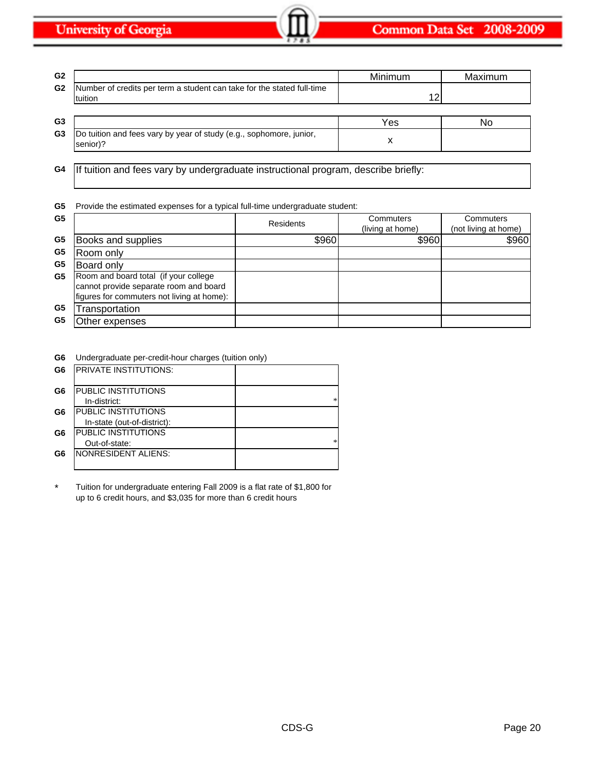| G <sub>2</sub> |                                                                                   | <b>Minimum</b> | Maximum |
|----------------|-----------------------------------------------------------------------------------|----------------|---------|
| G <sub>2</sub> | Number of credits per term a student can take for the stated full-time<br>tuition | 12             |         |
| G3             |                                                                                   | Yes            | No      |
| G3             | Do tuition and fees vary by year of study (e.g., sophomore, junior,<br>senior)?   |                |         |

**G4** If tuition and fees vary by undergraduate instructional program, describe briefly:

**G5** Provide the estimated expenses for a typical full-time undergraduate student:

| (living at home)<br>\$960 | (not living at home) |
|---------------------------|----------------------|
|                           |                      |
|                           | \$960                |
|                           |                      |
|                           |                      |
|                           |                      |
|                           |                      |
|                           |                      |
|                           |                      |

**G6** Undergraduate per-credit-hour charges (tuition only)

| G <sub>6</sub> | <b>IPRIVATE INSTITUTIONS:</b> |   |
|----------------|-------------------------------|---|
| G6             | PUBLIC INSTITUTIONS           |   |
|                | In-district:                  |   |
| G6             | <b>PUBLIC INSTITUTIONS</b>    |   |
|                | In-state (out-of-district):   |   |
| G6             | PUBLIC INSTITUTIONS           |   |
|                | Out-of-state:                 | * |
| G6             | NONRESIDENT ALIENS:           |   |
|                |                               |   |

Tuition for undergraduate entering Fall 2009 is a flat rate of \$1,800 for up to 6 credit hours, and \$3,035 for more than 6 credit hours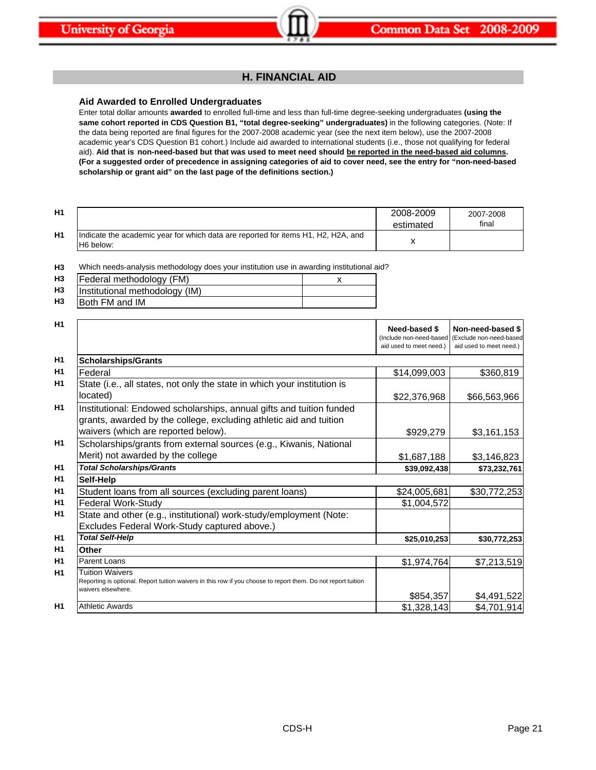# **H. FINANCIAL AID**

# **Aid Awarded to Enrolled Undergraduates**

Enter total dollar amounts **awarded** to enrolled full-time and less than full-time degree-seeking undergraduates **(using the same cohort reported in CDS Question B1, "total degree-seeking" undergraduates)** in the following categories. (Note: If the data being reported are final figures for the 2007-2008 academic year (see the next item below), use the 2007-2008 academic year's CDS Question B1 cohort.) Include aid awarded to international students (i.e., those not qualifying for federal aid). Aid that is non-need-based but that was used to meet need should be reported in the need-based aid columns. **(For a suggested order of precedence in assigning categories of aid to cover need, see the entry for "non-need-based scholarship or grant aid" on the last page of the definitions section.)**

| H1 |                                                                                                | 2008-2009<br>estimated | 2007-2008<br>final |
|----|------------------------------------------------------------------------------------------------|------------------------|--------------------|
| H1 | Indicate the academic year for which data are reported for items H1, H2, H2A, and<br>H6 below: |                        |                    |

**H3** Which needs-analysis methodology does your institution use in awarding institutional aid?

| H3 | Federal methodology (FM)       |  |
|----|--------------------------------|--|
| H3 | Institutional methodology (IM) |  |
| H3 | <b>Both FM and IM</b>          |  |

| H1             |                                                                                                                                                               | Need-based \$<br>(Include non-need-based | Non-need-based \$<br>(Exclude non-need-based |
|----------------|---------------------------------------------------------------------------------------------------------------------------------------------------------------|------------------------------------------|----------------------------------------------|
|                |                                                                                                                                                               | aid used to meet need.)                  | aid used to meet need.)                      |
| H1             | <b>Scholarships/Grants</b>                                                                                                                                    |                                          |                                              |
| H1             | Federal                                                                                                                                                       | \$14,099,003                             | \$360,819                                    |
| H <sub>1</sub> | State (i.e., all states, not only the state in which your institution is                                                                                      |                                          |                                              |
|                | located)                                                                                                                                                      | \$22,376,968                             | \$66,563,966                                 |
| H <sub>1</sub> | Institutional: Endowed scholarships, annual gifts and tuition funded<br>grants, awarded by the college, excluding athletic aid and tuition                    |                                          |                                              |
|                | waivers (which are reported below).                                                                                                                           | \$929,279                                | \$3,161,153                                  |
| H <sub>1</sub> | Scholarships/grants from external sources (e.g., Kiwanis, National                                                                                            |                                          |                                              |
|                | Merit) not awarded by the college                                                                                                                             | \$1,687,188                              | \$3,146,823                                  |
| H <sub>1</sub> | <b>Total Scholarships/Grants</b>                                                                                                                              | \$39,092,438                             | \$73,232,761                                 |
| H1             | Self-Help                                                                                                                                                     |                                          |                                              |
| H1             | Student loans from all sources (excluding parent loans)                                                                                                       | \$24,005,681                             | \$30,772,253                                 |
| H <sub>1</sub> | <b>Federal Work-Study</b>                                                                                                                                     | \$1,004,572                              |                                              |
| H1             | State and other (e.g., institutional) work-study/employment (Note:<br>Excludes Federal Work-Study captured above.)                                            |                                          |                                              |
| H1             | <b>Total Self-Help</b>                                                                                                                                        | \$25,010,253                             | \$30,772,253                                 |
| H1             | Other                                                                                                                                                         |                                          |                                              |
| H1             | Parent Loans                                                                                                                                                  | \$1,974,764                              | \$7,213,519                                  |
| H1             | <b>Tuition Waivers</b><br>Reporting is optional. Report tuition waivers in this row if you choose to report them. Do not report tuition<br>waivers elsewhere. | \$854,357                                | \$4,491,522                                  |
| H1             | <b>Athletic Awards</b>                                                                                                                                        | \$1,328,143                              | \$4,701,914                                  |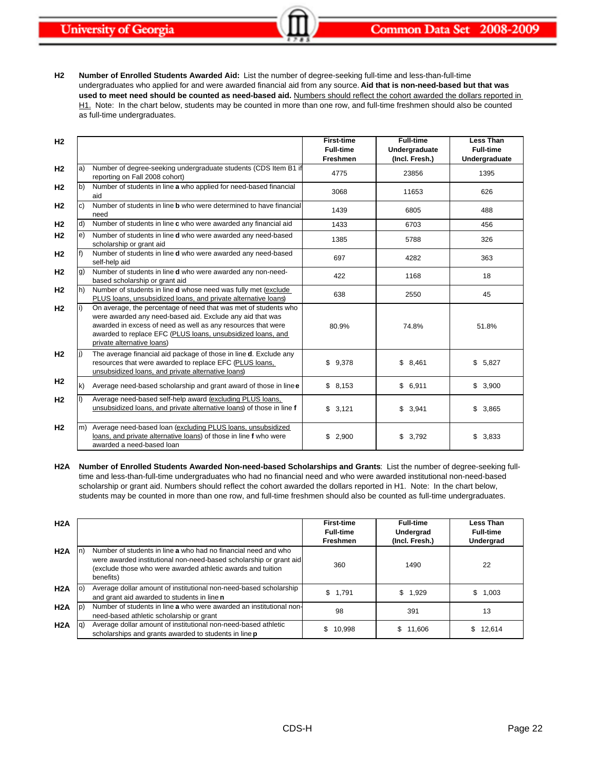**H2 Number of Enrolled Students Awarded Aid:** List the number of degree-seeking full-time and less-than-full-time undergraduates who applied for and were awarded financial aid from any source. **Aid that is non-need-based but that was**  used to meet need should be counted as need-based aid. Numbers should reflect the cohort awarded the dollars reported in H1. Note: In the chart below, students may be counted in more than one row, and full-time freshmen should also be counted as full-time undergraduates.

| H <sub>2</sub> |              |                                                                                                                                                                                                                                                                                           | <b>First-time</b><br><b>Full-time</b><br>Freshmen | <b>Full-time</b><br>Undergraduate<br>(Incl. Fresh.) | <b>Less Than</b><br><b>Full-time</b><br>Undergraduate |
|----------------|--------------|-------------------------------------------------------------------------------------------------------------------------------------------------------------------------------------------------------------------------------------------------------------------------------------------|---------------------------------------------------|-----------------------------------------------------|-------------------------------------------------------|
| H <sub>2</sub> | a)           | Number of degree-seeking undergraduate students (CDS Item B1 if<br>reporting on Fall 2008 cohort)                                                                                                                                                                                         | 4775                                              | 23856                                               | 1395                                                  |
| H <sub>2</sub> | b)           | Number of students in line a who applied for need-based financial<br>aid                                                                                                                                                                                                                  | 3068                                              | 11653                                               | 626                                                   |
| H <sub>2</sub> | C)           | Number of students in line <b>b</b> who were determined to have financial<br>need                                                                                                                                                                                                         | 1439                                              | 6805                                                | 488                                                   |
| H <sub>2</sub> | ld)          | Number of students in line c who were awarded any financial aid                                                                                                                                                                                                                           | 1433                                              | 6703                                                | 456                                                   |
| H <sub>2</sub> | e)           | Number of students in line d who were awarded any need-based<br>scholarship or grant aid                                                                                                                                                                                                  | 1385                                              | 5788                                                | 326                                                   |
| H <sub>2</sub> | f)           | Number of students in line d who were awarded any need-based<br>self-help aid                                                                                                                                                                                                             | 697                                               | 4282                                                | 363                                                   |
| H <sub>2</sub> | g)           | Number of students in line d who were awarded any non-need-<br>based scholarship or grant aid                                                                                                                                                                                             | 422                                               | 1168                                                | 18                                                    |
| H <sub>2</sub> | lh)          | Number of students in line <b>d</b> whose need was fully met (exclude<br>PLUS loans, unsubsidized loans, and private alternative loans)                                                                                                                                                   | 638                                               | 2550                                                | 45                                                    |
| H <sub>2</sub> | li)          | On average, the percentage of need that was met of students who<br>were awarded any need-based aid. Exclude any aid that was<br>awarded in excess of need as well as any resources that were<br>awarded to replace EFC (PLUS loans, unsubsidized loans, and<br>private alternative loans) | 80.9%                                             | 74.8%                                               | 51.8%                                                 |
| H <sub>2</sub> | li)          | The average financial aid package of those in line d. Exclude any<br>resources that were awarded to replace EFC (PLUS loans,<br>unsubsidized loans, and private alternative loans)                                                                                                        | \$9,378                                           | \$8,461                                             | \$<br>5,827                                           |
| H <sub>2</sub> | $\mathsf{k}$ | Average need-based scholarship and grant award of those in line e                                                                                                                                                                                                                         | \$8,153                                           | \$6,911                                             | \$3,900                                               |
| H <sub>2</sub> | l)           | Average need-based self-help award (excluding PLUS loans,<br>unsubsidized loans, and private alternative loans) of those in line f                                                                                                                                                        | \$3,121                                           | \$3,941                                             | \$3,865                                               |
| H <sub>2</sub> | m)           | Average need-based loan (excluding PLUS loans, unsubsidized<br>loans, and private alternative loans) of those in line f who were<br>awarded a need-based loan                                                                                                                             | \$<br>2,900                                       | \$<br>3,792                                         | \$<br>3,833                                           |

**H2A Number of Enrolled Students Awarded Non-need-based Scholarships and Grants**: List the number of degree-seeking fulltime and less-than-full-time undergraduates who had no financial need and who were awarded institutional non-need-based scholarship or grant aid. Numbers should reflect the cohort awarded the dollars reported in H1. Note: In the chart below, students may be counted in more than one row, and full-time freshmen should also be counted as full-time undergraduates.

| H2A |     |                                                                                                                                                                                                                  | <b>First-time</b><br><b>Full-time</b><br>Freshmen | <b>Full-time</b><br>Undergrad<br>(Incl. Fresh.) | <b>Less Than</b><br><b>Full-time</b><br>Undergrad |
|-----|-----|------------------------------------------------------------------------------------------------------------------------------------------------------------------------------------------------------------------|---------------------------------------------------|-------------------------------------------------|---------------------------------------------------|
| H2A |     | Number of students in line a who had no financial need and who<br>were awarded institutional non-need-based scholarship or grant aid<br>(exclude those who were awarded athletic awards and tuition<br>benefits) | 360                                               | 1490                                            | 22                                                |
| H2A |     | Average dollar amount of institutional non-need-based scholarship<br>and grant aid awarded to students in line n                                                                                                 | \$1.791                                           | \$1,929                                         | \$1,003                                           |
| H2A | l p | Number of students in line a who were awarded an institutional non-<br>need-based athletic scholarship or grant                                                                                                  | 98                                                | 391                                             | 13                                                |
| H2A |     | Average dollar amount of institutional non-need-based athletic<br>scholarships and grants awarded to students in line <b>p</b>                                                                                   | 10.998                                            | \$11,606                                        | \$12.614                                          |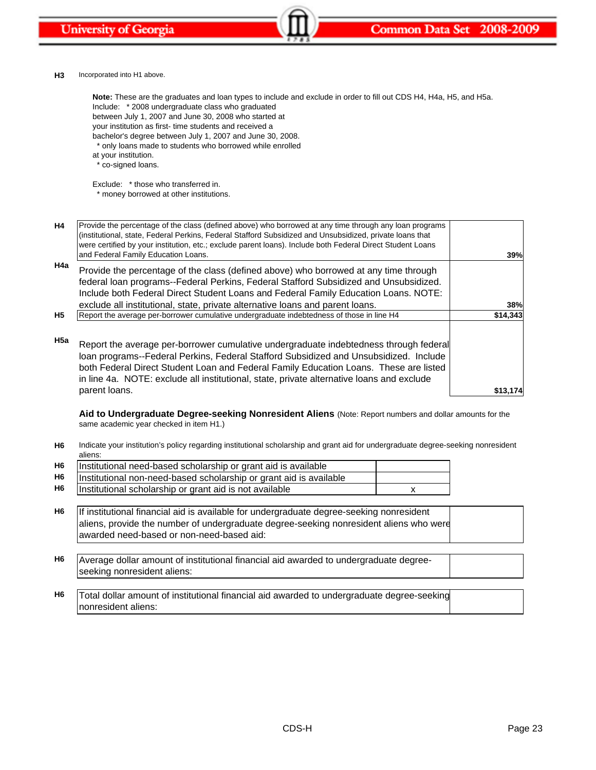

### **H3** Incorporated into H1 above.

Include: \* 2008 undergraduate class who graduated between July 1, 2007 and June 30, 2008 who started at your institution as first- time students and received a bachelor's degree between July 1, 2007 and June 30, 2008. \* only loans made to students who borrowed while enrolled at your institution. \* co-signed loans. **Note:** These are the graduates and loan types to include and exclude in order to fill out CDS H4, H4a, H5, and H5a.

Exclude: \* those who transferred in.

\* money borrowed at other institutions.

| H4        | Provide the percentage of the class (defined above) who borrowed at any time through any loan programs<br>(institutional, state, Federal Perkins, Federal Stafford Subsidized and Unsubsidized, private loans that<br>were certified by your institution, etc.; exclude parent loans). Include both Federal Direct Student Loans<br>and Federal Family Education Loans. | 39%      |
|-----------|-------------------------------------------------------------------------------------------------------------------------------------------------------------------------------------------------------------------------------------------------------------------------------------------------------------------------------------------------------------------------|----------|
| H4a       | Provide the percentage of the class (defined above) who borrowed at any time through<br>federal loan programs--Federal Perkins, Federal Stafford Subsidized and Unsubsidized.<br>Include both Federal Direct Student Loans and Federal Family Education Loans. NOTE:<br>exclude all institutional, state, private alternative loans and parent loans.                   | 38%      |
| <b>H5</b> | Report the average per-borrower cumulative undergraduate indebtedness of those in line H4                                                                                                                                                                                                                                                                               | \$14,343 |
| H5a       | Report the average per-borrower cumulative undergraduate indebtedness through federal<br>Ioan programs--Federal Perkins, Federal Stafford Subsidized and Unsubsidized. Include<br>both Federal Direct Student Loan and Federal Family Education Loans. These are listed<br>in line 4a. NOTE: exclude all institutional, state, private alternative loans and exclude    |          |
|           | parent loans.                                                                                                                                                                                                                                                                                                                                                           | \$13,174 |

**Aid to Undergraduate Degree-seeking Nonresident Aliens** (Note: Report numbers and dollar amounts for the same academic year checked in item H1.)

**H6** Indicate your institution's policy regarding institutional scholarship and grant aid for undergraduate degree-seeking nonresident aliens:

| H <sub>6</sub> | Institutional need-based scholarship or grant aid is available     |  |
|----------------|--------------------------------------------------------------------|--|
| H6             | Institutional non-need-based scholarship or grant aid is available |  |
| H6             | Institutional scholarship or grant aid is not available            |  |

- **H6** If institutional financial aid is available for undergraduate degree-seeking nonresident aliens, provide the number of undergraduate degree-seeking nonresident aliens who were awarded need-based or non-need-based aid:
- **H6** Average dollar amount of institutional financial aid awarded to undergraduate degreeseeking nonresident aliens:
- **H6** Total dollar amount of institutional financial aid awarded to undergraduate degree-seeking nonresident aliens: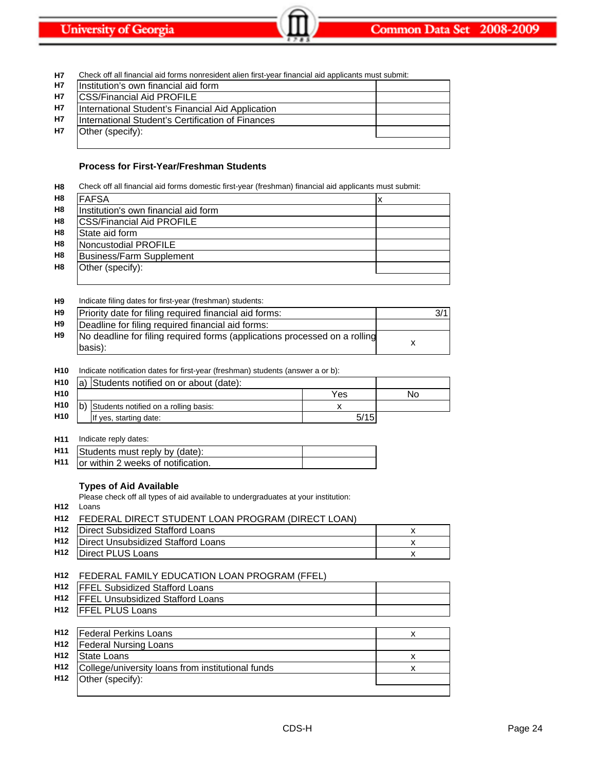| <b>H7</b> | Check off all financial aid forms nonresident alien first-year financial aid applicants must submit: |  |
|-----------|------------------------------------------------------------------------------------------------------|--|
| <b>H7</b> | Institution's own financial aid form                                                                 |  |
| <b>H7</b> | <b>CSS/Financial Aid PROFILE</b>                                                                     |  |
| <b>H7</b> | International Student's Financial Aid Application                                                    |  |
| <b>H7</b> | International Student's Certification of Finances                                                    |  |
| <b>H7</b> | Other (specify):                                                                                     |  |
|           |                                                                                                      |  |

# **Process for First-Year/Freshman Students**

| H <sub>8</sub> | Check off all financial aid forms domestic first-year (freshman) financial aid applicants must submit: |  |
|----------------|--------------------------------------------------------------------------------------------------------|--|
|                | H8 FAFSA                                                                                               |  |

|                | 1 A M                                 | ^ |
|----------------|---------------------------------------|---|
| H8             | Ilnstitution's own financial aid form |   |
| H8             | <b>CSS/Financial Aid PROFILE</b>      |   |
| H8             | <b>State aid form</b>                 |   |
| H <sub>8</sub> | Noncustodial PROFILE                  |   |
| H <sub>8</sub> | Business/Farm Supplement              |   |
| H <sub>8</sub> | Other (specify):                      |   |
|                |                                       |   |

#### **H9** Indicate filing dates for first-year (freshman) students:

| H <sub>9</sub> | Priority date for filing required financial aid forms:                                |  |
|----------------|---------------------------------------------------------------------------------------|--|
| H9             | Deadline for filing required financial aid forms:                                     |  |
| H9             | No deadline for filing required forms (applications processed on a rolling<br>basis): |  |

### **H10** Indicate notification dates for first-year (freshman) students (answer a or b):

| H <sub>10</sub> | a) Students notified on or about (date): |      |    |
|-----------------|------------------------------------------|------|----|
| H <sub>10</sub> |                                          | Yes  | No |
| H <sub>10</sub> | b) Students notified on a rolling basis: |      |    |
| H <sub>10</sub> | If yes, starting date:                   | 5/15 |    |

### **H11** Indicate reply dates:

| H <sub>11</sub> Students must reply by (date):            |  |
|-----------------------------------------------------------|--|
| <b>H<sub>11</sub></b> lor within 2 weeks of notification. |  |

# **Types of Aid Available**

Please check off all types of aid available to undergraduates at your institution:

**H12** Loans

|     | H12 FEDERAL DIRECT STUDENT LOAN PROGRAM (DIRECT LOAN) |  |
|-----|-------------------------------------------------------|--|
|     | H <sub>12</sub>   Direct Subsidized Stafford Loans    |  |
|     | H <sub>12</sub>   Direct Unsubsidized Stafford Loans  |  |
| H12 | <b>IDirect PLUS Loans</b>                             |  |
|     |                                                       |  |

## **H12** FEDERAL FAMILY EDUCATION LOAN PROGRAM (FFEL)

| H <sub>12</sub> | <b>FFEL Subsidized Stafford Loans</b>             |   |  |  |  |  |
|-----------------|---------------------------------------------------|---|--|--|--|--|
| H <sub>12</sub> | <b>FFEL Unsubsidized Stafford Loans</b>           |   |  |  |  |  |
| H <sub>12</sub> | <b>FFEL PLUS Loans</b>                            |   |  |  |  |  |
|                 |                                                   |   |  |  |  |  |
| H <sub>12</sub> | <b>Federal Perkins Loans</b>                      | x |  |  |  |  |
| H <sub>12</sub> | <b>Federal Nursing Loans</b>                      |   |  |  |  |  |
| H <sub>12</sub> | <b>State Loans</b>                                | x |  |  |  |  |
| H <sub>12</sub> | College/university loans from institutional funds | x |  |  |  |  |
| H <sub>12</sub> | Other (specify):                                  |   |  |  |  |  |
|                 |                                                   |   |  |  |  |  |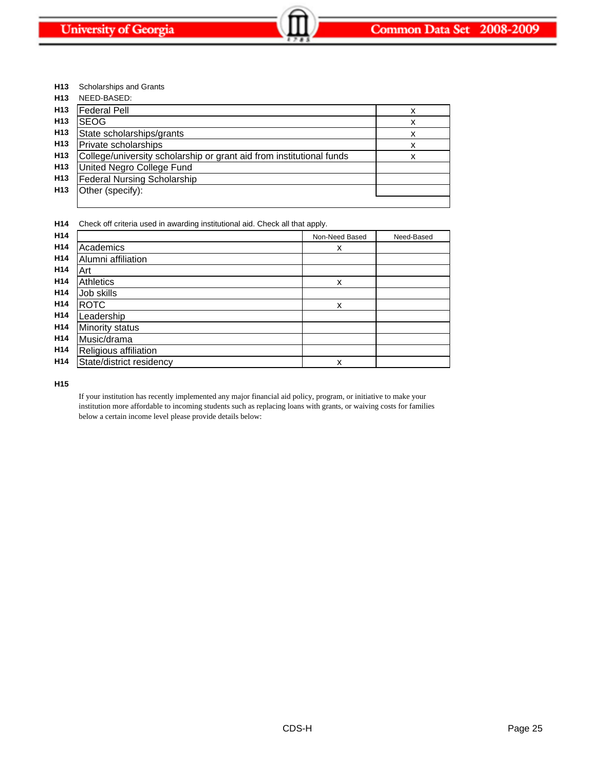**H13** Scholarships and Grants

| H <sub>13</sub> | NEED-BASED:                                                          |   |
|-----------------|----------------------------------------------------------------------|---|
| H <sub>13</sub> | <b>Federal Pell</b>                                                  | х |
| H <sub>13</sub> | <b>SEOG</b>                                                          | x |
| H <sub>13</sub> | State scholarships/grants                                            | х |
| H <sub>13</sub> | Private scholarships                                                 | х |
| H <sub>13</sub> | College/university scholarship or grant aid from institutional funds | x |
| H <sub>13</sub> | United Negro College Fund                                            |   |
| H <sub>13</sub> | <b>Federal Nursing Scholarship</b>                                   |   |
| H <sub>13</sub> | Other (specify):                                                     |   |
|                 |                                                                      |   |

**H14** Check off criteria used in awarding institutional aid. Check all that apply.

|                          | Non-Need Based                 | Need-Based |
|--------------------------|--------------------------------|------------|
| Academics                | x                              |            |
| Alumni affiliation       |                                |            |
| Art                      |                                |            |
| <b>Athletics</b>         | X                              |            |
| Job skills               |                                |            |
| <b>ROTC</b>              | X                              |            |
| Leadership               |                                |            |
|                          |                                |            |
|                          |                                |            |
| Religious affiliation    |                                |            |
| State/district residency | x                              |            |
|                          | Minority status<br>Music/drama |            |

**H15**

If your institution has recently implemented any major financial aid policy, program, or initiative to make your institution more affordable to incoming students such as replacing loans with grants, or waiving costs for families below a certain income level please provide details below: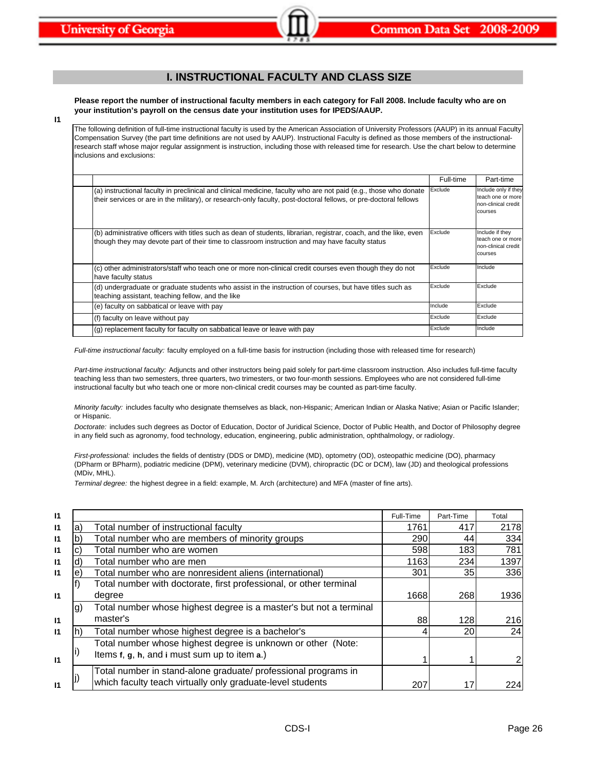# **I. INSTRUCTIONAL FACULTY AND CLASS SIZE**

**Please report the number of instructional faculty members in each category for Fall 2008. Include faculty who are on your institution's payroll on the census date your institution uses for IPEDS/AAUP.**

**I1**

The following definition of full-time instructional faculty is used by the American Association of University Professors (AAUP) in its annual Faculty Compensation Survey (the part time definitions are not used by AAUP). Instructional Faculty is defined as those members of the instructionalresearch staff whose major regular assignment is instruction, including those with released time for research. Use the chart below to determine inclusions and exclusions:

|                                                                                                                                                                                                                                      | Full-time | Part-time                                                                   |
|--------------------------------------------------------------------------------------------------------------------------------------------------------------------------------------------------------------------------------------|-----------|-----------------------------------------------------------------------------|
| (a) instructional faculty in preclinical and clinical medicine, faculty who are not paid (e.g., those who donate<br>their services or are in the military), or research-only faculty, post-doctoral fellows, or pre-doctoral fellows | Exclude   | Include only if they<br>teach one or more<br>non-clinical credit<br>courses |
| (b) administrative officers with titles such as dean of students, librarian, registrar, coach, and the like, even<br>though they may devote part of their time to classroom instruction and may have faculty status                  | Exclude   | Include if they<br>teach one or more<br>non-clinical credit<br>courses      |
| (c) other administrators/staff who teach one or more non-clinical credit courses even though they do not<br>have faculty status                                                                                                      | Exclude   | Include                                                                     |
| (d) undergraduate or graduate students who assist in the instruction of courses, but have titles such as<br>teaching assistant, teaching fellow, and the like                                                                        | Exclude   | Exclude                                                                     |
| (e) faculty on sabbatical or leave with pay                                                                                                                                                                                          | Include   | Exclude                                                                     |
| (f) faculty on leave without pay                                                                                                                                                                                                     | Exclude   | Exclude                                                                     |
| (q) replacement faculty for faculty on sabbatical leave or leave with pay                                                                                                                                                            | Exclude   | Include                                                                     |

*Full-time instructional faculty:* faculty employed on a full-time basis for instruction (including those with released time for research)

*Part-time instructional faculty:* Adjuncts and other instructors being paid solely for part-time classroom instruction. Also includes full-time faculty teaching less than two semesters, three quarters, two trimesters, or two four-month sessions. Employees who are not considered full-time instructional faculty but who teach one or more non-clinical credit courses may be counted as part-time faculty.

*Minority faculty:* includes faculty who designate themselves as black, non-Hispanic; American Indian or Alaska Native; Asian or Pacific Islander; or Hispanic.

*Doctorate:* includes such degrees as Doctor of Education, Doctor of Juridical Science, Doctor of Public Health, and Doctor of Philosophy degree in any field such as agronomy, food technology, education, engineering, public administration, ophthalmology, or radiology.

*First-professional:* includes the fields of dentistry (DDS or DMD), medicine (MD), optometry (OD), osteopathic medicine (DO), pharmacy (DPharm or BPharm), podiatric medicine (DPM), veterinary medicine (DVM), chiropractic (DC or DCM), law (JD) and theological professions (MDiv, MHL).

*Terminal degree:* the highest degree in a field: example, M. Arch (architecture) and MFA (master of fine arts).

| $\mathsf{I}$ |    |                                                                    | Full-Time | Part-Time       | Total |
|--------------|----|--------------------------------------------------------------------|-----------|-----------------|-------|
| $\mathbf{I}$ | a) | Total number of instructional faculty                              | 1761      | 417             | 2178  |
| $\mathsf{I}$ |    | Total number who are members of minority groups                    | 290       | 44              | 334   |
| $\mathsf{I}$ |    | Total number who are women                                         | 598       | 183             | 781   |
| $\mathbf{I}$ |    | Total number who are men                                           | 1163      | 234             | 1397  |
| $\mathsf{I}$ | e) | Total number who are nonresident aliens (international)            | 301       | 35              | 336   |
|              |    | Total number with doctorate, first professional, or other terminal |           |                 |       |
| $\mathsf{I}$ |    | degree                                                             | 1668      | 268             | 1936  |
|              | g) | Total number whose highest degree is a master's but not a terminal |           |                 |       |
| $\mathsf{I}$ |    | master's                                                           | 88        | 128             | 216   |
| $\mathbf{I}$ |    | Total number whose highest degree is a bachelor's                  |           | 20              | 24    |
|              |    | Total number whose highest degree is unknown or other (Note:       |           |                 |       |
| $\mathsf{I}$ |    | Items f, g, h, and i must sum up to item a.)                       |           |                 |       |
|              |    | Total number in stand-alone graduate/ professional programs in     |           |                 |       |
| $\mathsf{I}$ |    | which faculty teach virtually only graduate-level students         | 207       | 17 <sub>1</sub> | 224   |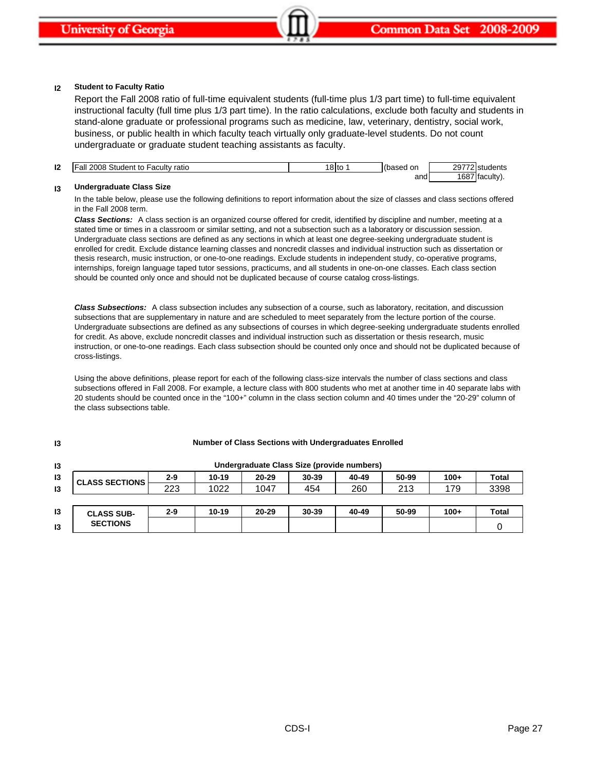#### **I2 Student to Faculty Ratio**

Report the Fall 2008 ratio of full-time equivalent students (full-time plus 1/3 part time) to full-time equivalent instructional faculty (full time plus 1/3 part time). In the ratio calculations, exclude both faculty and students in stand-alone graduate or professional programs such as medicine, law, veterinary, dentistry, social work, business, or public health in which faculty teach virtually only graduate-level students. Do not count undergraduate or graduate student teaching assistants as faculty.

| 12 | $\mathsf{C}$<br>all<br>2008<br>ratio<br>$+ \circ$<br>aculty<br>student *<br>w | 8 to | on<br>seu | 20772   | .<br>uaents<br>$-1$ |
|----|-------------------------------------------------------------------------------|------|-----------|---------|---------------------|
|    |                                                                               |      | and       | 1687 fa | :ultv).<br>ʻitad    |

#### **I3 Undergraduate Class Size**

**I3**

In the table below, please use the following definitions to report information about the size of classes and class sections offered in the Fall 2008 term.

*Class Sections:* A class section is an organized course offered for credit, identified by discipline and number, meeting at a stated time or times in a classroom or similar setting, and not a subsection such as a laboratory or discussion session. Undergraduate class sections are defined as any sections in which at least one degree-seeking undergraduate student is enrolled for credit. Exclude distance learning classes and noncredit classes and individual instruction such as dissertation or thesis research, music instruction, or one-to-one readings. Exclude students in independent study, co-operative programs, internships, foreign language taped tutor sessions, practicums, and all students in one-on-one classes. Each class section should be counted only once and should not be duplicated because of course catalog cross-listings.

*Class Subsections:* A class subsection includes any subsection of a course, such as laboratory, recitation, and discussion subsections that are supplementary in nature and are scheduled to meet separately from the lecture portion of the course. Undergraduate subsections are defined as any subsections of courses in which degree-seeking undergraduate students enrolled for credit. As above, exclude noncredit classes and individual instruction such as dissertation or thesis research, music instruction, or one-to-one readings. Each class subsection should be counted only once and should not be duplicated because of cross-listings.

Using the above definitions, please report for each of the following class-size intervals the number of class sections and class subsections offered in Fall 2008. For example, a lecture class with 800 students who met at another time in 40 separate labs with 20 students should be counted once in the "100+" column in the class section column and 40 times under the "20-29" column of the class subsections table.

| I3 |                       |         |           |           | Undergraduate Class Size (provide numbers) |       |       |        |              |
|----|-----------------------|---------|-----------|-----------|--------------------------------------------|-------|-------|--------|--------------|
| 13 | <b>CLASS SECTIONS</b> | $2 - 9$ | $10 - 19$ | $20 - 29$ | 30-39                                      | 40-49 | 50-99 | $100+$ | <b>Total</b> |
| 13 |                       | 223     | 1022      | 1047      | 454                                        | 260   | 213   | 179    | 3398         |
|    |                       |         |           |           |                                            |       |       |        |              |
| 13 | <b>CLASS SUB-</b>     | $2 - 9$ | $10 - 19$ | $20 - 29$ | 30-39                                      | 40-49 | 50-99 | $100+$ | <b>Total</b> |
| 13 | <b>SECTIONS</b>       |         |           |           |                                            |       |       |        |              |

### **Number of Class Sections with Undergraduates Enrolled**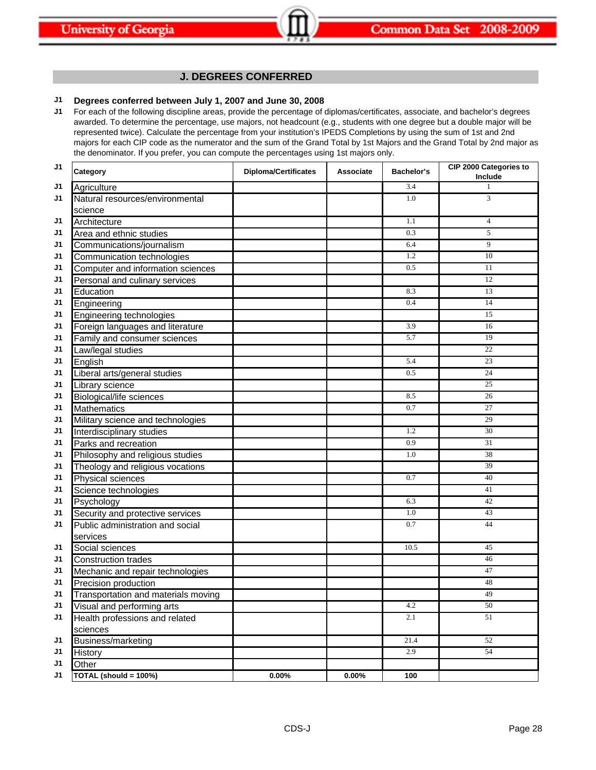# **J. DEGREES CONFERRED**

# **J1 Degrees conferred between July 1, 2007 and June 30, 2008**

**J1** For each of the following discipline areas, provide the percentage of diplomas/certificates, associate, and bachelor's degrees awarded. To determine the percentage, use majors, not headcount (e.g., students with one degree but a double major will be represented twice). Calculate the percentage from your institution's IPEDS Completions by using the sum of 1st and 2nd majors for each CIP code as the numerator and the sum of the Grand Total by 1st Majors and the Grand Total by 2nd major as the denominator. If you prefer, you can compute the percentages using 1st majors only.

| J <sub>1</sub> | Category                            | <b>Diploma/Certificates</b> | <b>Associate</b> | Bachelor's | CIP 2000 Categories to<br>Include |
|----------------|-------------------------------------|-----------------------------|------------------|------------|-----------------------------------|
| J1             | Agriculture                         |                             |                  | 3.4        | 1                                 |
| J1             | Natural resources/environmental     |                             |                  | 1.0        | 3                                 |
|                | science                             |                             |                  |            |                                   |
| J1             | Architecture                        |                             |                  | 1.1        | $\overline{4}$                    |
| J1             | Area and ethnic studies             |                             |                  | 0.3        | 5                                 |
| J1             | Communications/journalism           |                             |                  | 6.4        | 9                                 |
| J1             | Communication technologies          |                             |                  | 1.2        | 10                                |
| J1             | Computer and information sciences   |                             |                  | 0.5        | 11                                |
| J1             | Personal and culinary services      |                             |                  |            | 12                                |
| J1             | Education                           |                             |                  | 8.3        | 13                                |
| J1             | Engineering                         |                             |                  | 0.4        | 14                                |
| J1             | Engineering technologies            |                             |                  |            | 15                                |
| J1             | Foreign languages and literature    |                             |                  | 3.9        | 16                                |
| J1             | Family and consumer sciences        |                             |                  | 5.7        | 19                                |
| J1             | Law/legal studies                   |                             |                  |            | 22                                |
| J1             | English                             |                             |                  | 5.4        | 23                                |
| J1             | Liberal arts/general studies        |                             |                  | 0.5        | 24                                |
| J1             | Library science                     |                             |                  |            | 25                                |
| J1             | <b>Biological/life sciences</b>     |                             |                  | 8.5        | 26                                |
| J1             | <b>Mathematics</b>                  |                             |                  | 0.7        | 27                                |
| J1             | Military science and technologies   |                             |                  |            | 29                                |
| J1             | Interdisciplinary studies           |                             |                  | 1.2        | 30                                |
| J1             | Parks and recreation                |                             |                  | 0.9        | 31                                |
| J1             | Philosophy and religious studies    |                             |                  | 1.0        | 38                                |
| J1             | Theology and religious vocations    |                             |                  |            | 39                                |
| J1             | <b>Physical sciences</b>            |                             |                  | 0.7        | 40                                |
| J1             | Science technologies                |                             |                  |            | 41                                |
| J1             | Psychology                          |                             |                  | 6.3        | 42                                |
| J1             | Security and protective services    |                             |                  | 1.0        | 43                                |
| J1             | Public administration and social    |                             |                  | 0.7        | 44                                |
|                | services                            |                             |                  |            |                                   |
| J1             | Social sciences                     |                             |                  | 10.5       | 45                                |
| J1             | <b>Construction trades</b>          |                             |                  |            | 46                                |
| J1             | Mechanic and repair technologies    |                             |                  |            | 47                                |
| J1             | Precision production                |                             |                  |            | 48                                |
| J1             | Transportation and materials moving |                             |                  |            | 49                                |
| J1             | Visual and performing arts          |                             |                  | 4.2        | 50                                |
| J1             | Health professions and related      |                             |                  | 2.1        | 51                                |
|                | sciences                            |                             |                  |            |                                   |
| J1             | Business/marketing                  |                             |                  | 21.4       | 52                                |
| J1             | History                             |                             |                  | 2.9        | 54                                |
| J1             | Other                               |                             |                  |            |                                   |
| J1             | TOTAL (should = $100%$ )            | $0.00\%$                    | 0.00%            | 100        |                                   |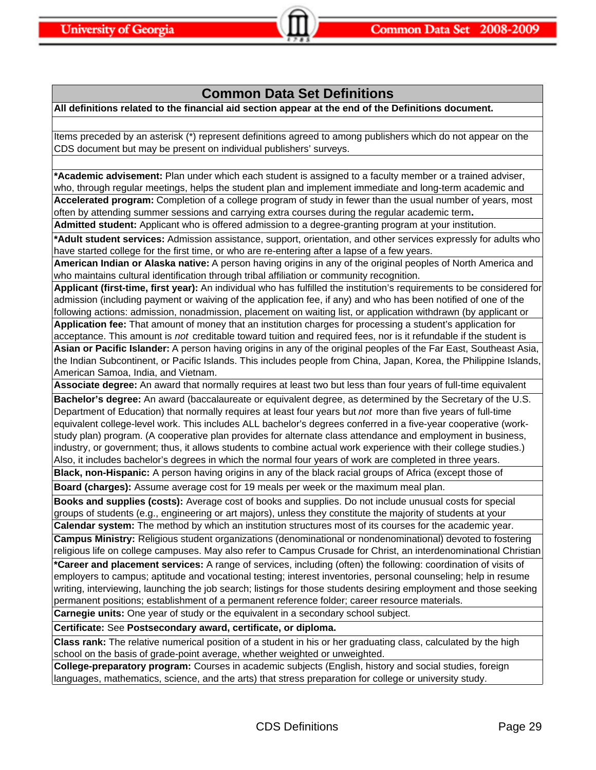# **Common Data Set Definitions**

**All definitions related to the financial aid section appear at the end of the Definitions document.**

Items preceded by an asterisk (\*) represent definitions agreed to among publishers which do not appear on the CDS document but may be present on individual publishers' surveys.

**\*Academic advisement:** Plan under which each student is assigned to a faculty member or a trained adviser, who, through regular meetings, helps the student plan and implement immediate and long-term academic and **Accelerated program:** Completion of a college program of study in fewer than the usual number of years, most often by attending summer sessions and carrying extra courses during the regular academic term**.**

**Admitted student:** Applicant who is offered admission to a degree-granting program at your institution.

**\*Adult student services:** Admission assistance, support, orientation, and other services expressly for adults who have started college for the first time, or who are re-entering after a lapse of a few years.

**American Indian or Alaska native:** A person having origins in any of the original peoples of North America and who maintains cultural identification through tribal affiliation or community recognition.

**Applicant (first-time, first year):** An individual who has fulfilled the institution's requirements to be considered for admission (including payment or waiving of the application fee, if any) and who has been notified of one of the following actions: admission, nonadmission, placement on waiting list, or application withdrawn (by applicant or

**Application fee:** That amount of money that an institution charges for processing a student's application for acceptance. This amount is *not* creditable toward tuition and required fees, nor is it refundable if the student is

**Asian or Pacific Islander:** A person having origins in any of the original peoples of the Far East, Southeast Asia, the Indian Subcontinent, or Pacific Islands. This includes people from China, Japan, Korea, the Philippine Islands, American Samoa, India, and Vietnam.

**Associate degree:** An award that normally requires at least two but less than four years of full-time equivalent

**Bachelor's degree:** An award (baccalaureate or equivalent degree, as determined by the Secretary of the U.S. Department of Education) that normally requires at least four years but *not* more than five years of full-time equivalent college-level work. This includes ALL bachelor's degrees conferred in a five-year cooperative (workstudy plan) program. (A cooperative plan provides for alternate class attendance and employment in business, industry, or government; thus, it allows students to combine actual work experience with their college studies.) Also, it includes bachelor's degrees in which the normal four years of work are completed in three years.

**Black, non-Hispanic:** A person having origins in any of the black racial groups of Africa (except those of **Board (charges):** Assume average cost for 19 meals per week or the maximum meal plan.

**Books and supplies (costs):** Average cost of books and supplies. Do not include unusual costs for special groups of students (e.g., engineering or art majors), unless they constitute the majority of students at your

**Calendar system:** The method by which an institution structures most of its courses for the academic year. **Campus Ministry:** Religious student organizations (denominational or nondenominational) devoted to fostering religious life on college campuses. May also refer to Campus Crusade for Christ, an interdenominational Christian

**\*Career and placement services:** A range of services, including (often) the following: coordination of visits of employers to campus; aptitude and vocational testing; interest inventories, personal counseling; help in resume writing, interviewing, launching the job search; listings for those students desiring employment and those seeking permanent positions; establishment of a permanent reference folder; career resource materials.

**Carnegie units:** One year of study or the equivalent in a secondary school subject.

**Certificate:** See **Postsecondary award, certificate, or diploma.**

**Class rank:** The relative numerical position of a student in his or her graduating class, calculated by the high school on the basis of grade-point average, whether weighted or unweighted.

**College-preparatory program:** Courses in academic subjects (English, history and social studies, foreign languages, mathematics, science, and the arts) that stress preparation for college or university study.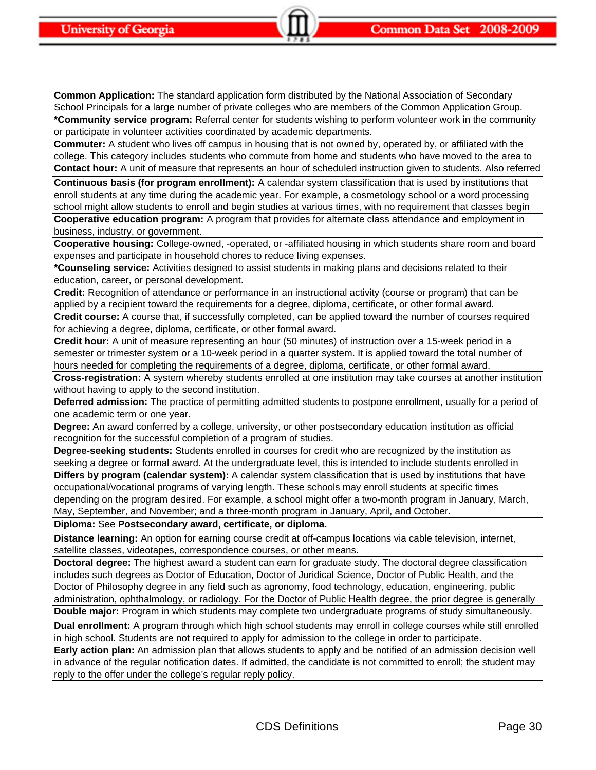**Common Application:** The standard application form distributed by the National Association of Secondary School Principals for a large number of private colleges who are members of the Common Application Group. **\*Community service program:** Referral center for students wishing to perform volunteer work in the community or participate in volunteer activities coordinated by academic departments.

**Commuter:** A student who lives off campus in housing that is not owned by, operated by, or affiliated with the college. This category includes students who commute from home and students who have moved to the area to **Contact hour:** A unit of measure that represents an hour of scheduled instruction given to students. Also referred

**Continuous basis (for program enrollment):** A calendar system classification that is used by institutions that enroll students at any time during the academic year. For example, a cosmetology school or a word processing school might allow students to enroll and begin studies at various times, with no requirement that classes begin

**Cooperative education program:** A program that provides for alternate class attendance and employment in business, industry, or government.

**Cooperative housing:** College-owned, -operated, or -affiliated housing in which students share room and board expenses and participate in household chores to reduce living expenses.

**\*Counseling service:** Activities designed to assist students in making plans and decisions related to their education, career, or personal development.

**Credit:** Recognition of attendance or performance in an instructional activity (course or program) that can be applied by a recipient toward the requirements for a degree, diploma, certificate, or other formal award.

**Credit course:** A course that, if successfully completed, can be applied toward the number of courses required for achieving a degree, diploma, certificate, or other formal award.

**Credit hour:** A unit of measure representing an hour (50 minutes) of instruction over a 15-week period in a semester or trimester system or a 10-week period in a quarter system. It is applied toward the total number of hours needed for completing the requirements of a degree, diploma, certificate, or other formal award.

**Cross-registration:** A system whereby students enrolled at one institution may take courses at another institution without having to apply to the second institution.

**Deferred admission:** The practice of permitting admitted students to postpone enrollment, usually for a period of one academic term or one year.

**Degree:** An award conferred by a college, university, or other postsecondary education institution as official recognition for the successful completion of a program of studies.

**Degree-seeking students:** Students enrolled in courses for credit who are recognized by the institution as seeking a degree or formal award. At the undergraduate level, this is intended to include students enrolled in

**Differs by program (calendar system):** A calendar system classification that is used by institutions that have occupational/vocational programs of varying length. These schools may enroll students at specific times depending on the program desired. For example, a school might offer a two-month program in January, March, May, September, and November; and a three-month program in January, April, and October.

**Diploma:** See **Postsecondary award, certificate, or diploma.**

**Distance learning:** An option for earning course credit at off-campus locations via cable television, internet, satellite classes, videotapes, correspondence courses, or other means.

**Doctoral degree:** The highest award a student can earn for graduate study. The doctoral degree classification includes such degrees as Doctor of Education, Doctor of Juridical Science, Doctor of Public Health, and the Doctor of Philosophy degree in any field such as agronomy, food technology, education, engineering, public administration, ophthalmology, or radiology. For the Doctor of Public Health degree, the prior degree is generally **Double major:** Program in which students may complete two undergraduate programs of study simultaneously.

**Dual enrollment:** A program through which high school students may enroll in college courses while still enrolled in high school. Students are not required to apply for admission to the college in order to participate.

**Early action plan:** An admission plan that allows students to apply and be notified of an admission decision well in advance of the regular notification dates. If admitted, the candidate is not committed to enroll; the student may reply to the offer under the college's regular reply policy.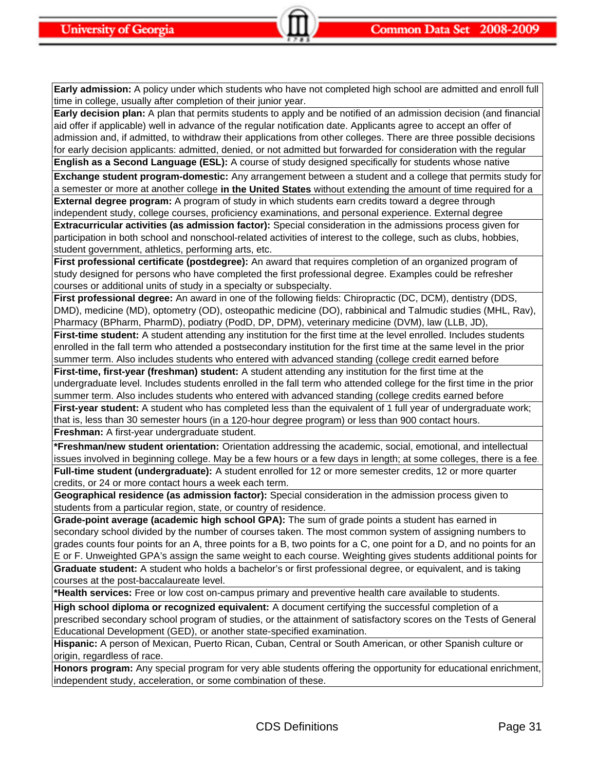**Early admission:** A policy under which students who have not completed high school are admitted and enroll full time in college, usually after completion of their junior year.

**Early decision plan:** A plan that permits students to apply and be notified of an admission decision (and financial aid offer if applicable) well in advance of the regular notification date. Applicants agree to accept an offer of admission and, if admitted, to withdraw their applications from other colleges. There are three possible decisions for early decision applicants: admitted, denied, or not admitted but forwarded for consideration with the regular

**English as a Second Language (ESL):** A course of study designed specifically for students whose native

**Exchange student program-domestic:** Any arrangement between a student and a college that permits study for a semester or more at another college **in the United States** without extending the amount of time required for a **External degree program:** A program of study in which students earn credits toward a degree through independent study, college courses, proficiency examinations, and personal experience. External degree

**Extracurricular activities (as admission factor):** Special consideration in the admissions process given for participation in both school and nonschool-related activities of interest to the college, such as clubs, hobbies, student government, athletics, performing arts, etc.

**First professional certificate (postdegree):** An award that requires completion of an organized program of study designed for persons who have completed the first professional degree. Examples could be refresher courses or additional units of study in a specialty or subspecialty.

**First professional degree:** An award in one of the following fields: Chiropractic (DC, DCM), dentistry (DDS, DMD), medicine (MD), optometry (OD), osteopathic medicine (DO), rabbinical and Talmudic studies (MHL, Rav), Pharmacy (BPharm, PharmD), podiatry (PodD, DP, DPM), veterinary medicine (DVM), law (LLB, JD),

**First-time student:** A student attending any institution for the first time at the level enrolled. Includes students enrolled in the fall term who attended a postsecondary institution for the first time at the same level in the prior summer term. Also includes students who entered with advanced standing (college credit earned before

**First-time, first-year (freshman) student:** A student attending any institution for the first time at the undergraduate level. Includes students enrolled in the fall term who attended college for the first time in the prior summer term. Also includes students who entered with advanced standing (college credits earned before

**First-year student:** A student who has completed less than the equivalent of 1 full year of undergraduate work; that is, less than 30 semester hours (in a 120-hour degree program) or less than 900 contact hours.

**Freshman:** A first-year undergraduate student.

**\*Freshman/new student orientation:** Orientation addressing the academic, social, emotional, and intellectual issues involved in beginning college. May be a few hours or a few days in length; at some colleges, there is a fee. **Full-time student (undergraduate):** A student enrolled for 12 or more semester credits, 12 or more quarter credits, or 24 or more contact hours a week each term.

**Geographical residence (as admission factor):** Special consideration in the admission process given to students from a particular region, state, or country of residence.

**Grade-point average (academic high school GPA):** The sum of grade points a student has earned in secondary school divided by the number of courses taken. The most common system of assigning numbers to grades counts four points for an A, three points for a B, two points for a C, one point for a D, and no points for an E or F. Unweighted GPA's assign the same weight to each course. Weighting gives students additional points for

**Graduate student:** A student who holds a bachelor's or first professional degree, or equivalent, and is taking courses at the post-baccalaureate level.

**\*Health services:** Free or low cost on-campus primary and preventive health care available to students.

**High school diploma or recognized equivalent:** A document certifying the successful completion of a prescribed secondary school program of studies, or the attainment of satisfactory scores on the Tests of General Educational Development (GED), or another state-specified examination.

**Hispanic:** A person of Mexican, Puerto Rican, Cuban, Central or South American, or other Spanish culture or origin, regardless of race.

**Honors program:** Any special program for very able students offering the opportunity for educational enrichment, independent study, acceleration, or some combination of these.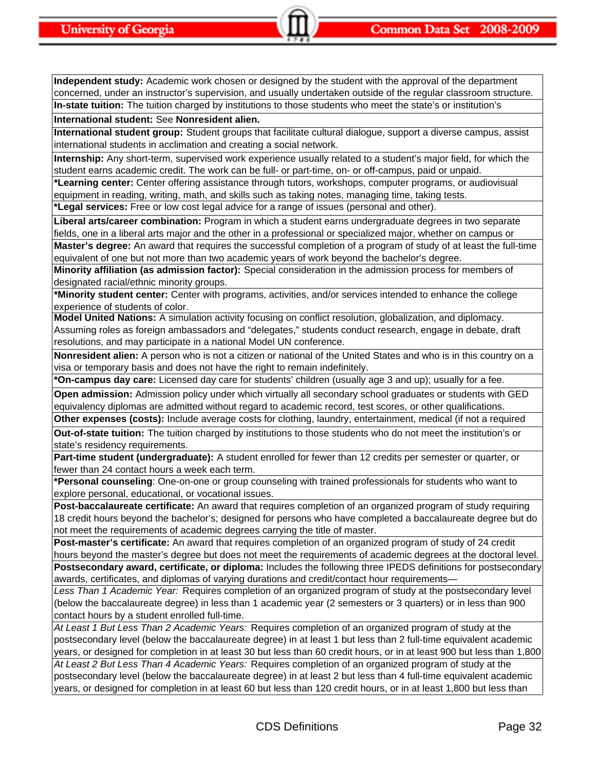**Independent study:** Academic work chosen or designed by the student with the approval of the department concerned, under an instructor's supervision, and usually undertaken outside of the regular classroom structure. **In-state tuition:** The tuition charged by institutions to those students who meet the state's or institution's

**International student:** See **Nonresident alien.**

**International student group:** Student groups that facilitate cultural dialogue, support a diverse campus, assist international students in acclimation and creating a social network.

**Internship:** Any short-term, supervised work experience usually related to a student's major field, for which the student earns academic credit. The work can be full- or part-time, on- or off-campus, paid or unpaid.

**\*Learning center:** Center offering assistance through tutors, workshops, computer programs, or audiovisual equipment in reading, writing, math, and skills such as taking notes, managing time, taking tests.

**\*Legal services:** Free or low cost legal advice for a range of issues (personal and other).

**Liberal arts/career combination:** Program in which a student earns undergraduate degrees in two separate fields, one in a liberal arts major and the other in a professional or specialized major, whether on campus or

**Master's degree:** An award that requires the successful completion of a program of study of at least the full-time equivalent of one but not more than two academic years of work beyond the bachelor's degree.

**Minority affiliation (as admission factor):** Special consideration in the admission process for members of designated racial/ethnic minority groups.

**\*Minority student center:** Center with programs, activities, and/or services intended to enhance the college experience of students of color.

**Model United Nations:** A simulation activity focusing on conflict resolution, globalization, and diplomacy. Assuming roles as foreign ambassadors and "delegates," students conduct research, engage in debate, draft resolutions, and may participate in a national Model UN conference.

**Nonresident alien:** A person who is not a citizen or national of the United States and who is in this country on a visa or temporary basis and does not have the right to remain indefinitely.

**\*On-campus day care:** Licensed day care for students' children (usually age 3 and up); usually for a fee.

**Open admission:** Admission policy under which virtually all secondary school graduates or students with GED equivalency diplomas are admitted without regard to academic record, test scores, or other qualifications.

**Other expenses (costs):** Include average costs for clothing, laundry, entertainment, medical (if not a required

**Out-of-state tuition:** The tuition charged by institutions to those students who do not meet the institution's or state's residency requirements.

**Part-time student (undergraduate):** A student enrolled for fewer than 12 credits per semester or quarter, or fewer than 24 contact hours a week each term.

**\*Personal counseling**: One-on-one or group counseling with trained professionals for students who want to explore personal, educational, or vocational issues.

**Post-baccalaureate certificate:** An award that requires completion of an organized program of study requiring 18 credit hours beyond the bachelor's; designed for persons who have completed a baccalaureate degree but do not meet the requirements of academic degrees carrying the title of master.

**Post-master's certificate:** An award that requires completion of an organized program of study of 24 credit hours beyond the master's degree but does not meet the requirements of academic degrees at the doctoral level.

**Postsecondary award, certificate, or diploma:** Includes the following three IPEDS definitions for postsecondary awards, certificates, and diplomas of varying durations and credit/contact hour requirements—

*Less Than 1 Academic Year:* Requires completion of an organized program of study at the postsecondary level (below the baccalaureate degree) in less than 1 academic year (2 semesters or 3 quarters) or in less than 900 contact hours by a student enrolled full-time.

*At Least 1 But Less Than 2 Academic Years:* Requires completion of an organized program of study at the postsecondary level (below the baccalaureate degree) in at least 1 but less than 2 full-time equivalent academic years, or designed for completion in at least 30 but less than 60 credit hours, or in at least 900 but less than 1,800

*At Least 2 But Less Than 4 Academic Years:* Requires completion of an organized program of study at the postsecondary level (below the baccalaureate degree) in at least 2 but less than 4 full-time equivalent academic years, or designed for completion in at least 60 but less than 120 credit hours, or in at least 1,800 but less than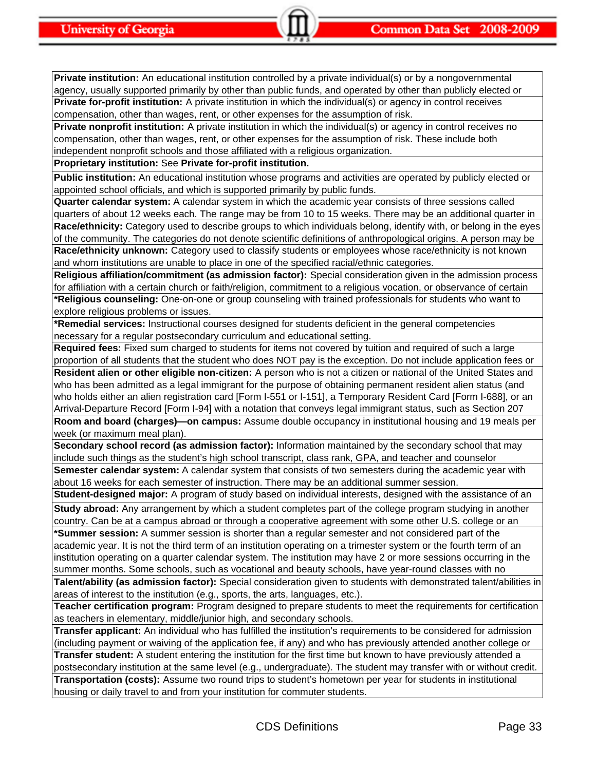**Private institution:** An educational institution controlled by a private individual(s) or by a nongovernmental agency, usually supported primarily by other than public funds, and operated by other than publicly elected or **Private for-profit institution:** A private institution in which the individual(s) or agency in control receives compensation, other than wages, rent, or other expenses for the assumption of risk.

**Private nonprofit institution:** A private institution in which the individual(s) or agency in control receives no compensation, other than wages, rent, or other expenses for the assumption of risk. These include both independent nonprofit schools and those affiliated with a religious organization.

**Proprietary institution:** See **Private for-profit institution.**

**Public institution:** An educational institution whose programs and activities are operated by publicly elected or appointed school officials, and which is supported primarily by public funds.

**Quarter calendar system:** A calendar system in which the academic year consists of three sessions called

quarters of about 12 weeks each. The range may be from 10 to 15 weeks. There may be an additional quarter in **Race/ethnicity:** Category used to describe groups to which individuals belong, identify with, or belong in the eyes of the community. The categories do not denote scientific definitions of anthropological origins. A person may be **Race/ethnicity unknown:** Category used to classify students or employees whose race/ethnicity is not known and whom institutions are unable to place in one of the specified racial/ethnic categories.

**Religious affiliation/commitment (as admission factor):** Special consideration given in the admission process for affiliation with a certain church or faith/religion, commitment to a religious vocation, or observance of certain **\*Religious counseling:** One-on-one or group counseling with trained professionals for students who want to explore religious problems or issues.

**\*Remedial services:** Instructional courses designed for students deficient in the general competencies necessary for a regular postsecondary curriculum and educational setting.

**Required fees:** Fixed sum charged to students for items not covered by tuition and required of such a large proportion of all students that the student who does NOT pay is the exception. Do not include application fees or **Resident alien or other eligible non-citizen:** A person who is not a citizen or national of the United States and who has been admitted as a legal immigrant for the purpose of obtaining permanent resident alien status (and

who holds either an alien registration card [Form I-551 or I-151], a Temporary Resident Card [Form I-688], or an Arrival-Departure Record [Form I-94] with a notation that conveys legal immigrant status, such as Section 207

**Room and board (charges)—on campus:** Assume double occupancy in institutional housing and 19 meals per week (or maximum meal plan).

**Secondary school record (as admission factor):** Information maintained by the secondary school that may include such things as the student's high school transcript, class rank, GPA, and teacher and counselor **Semester calendar system:** A calendar system that consists of two semesters during the academic year with

about 16 weeks for each semester of instruction. There may be an additional summer session.

**Student-designed major:** A program of study based on individual interests, designed with the assistance of an **Study abroad:** Any arrangement by which a student completes part of the college program studying in another

country. Can be at a campus abroad or through a cooperative agreement with some other U.S. college or an **\*Summer session:** A summer session is shorter than a regular semester and not considered part of the

academic year. It is not the third term of an institution operating on a trimester system or the fourth term of an institution operating on a quarter calendar system. The institution may have 2 or more sessions occurring in the summer months. Some schools, such as vocational and beauty schools, have year-round classes with no

**Talent/ability (as admission factor):** Special consideration given to students with demonstrated talent/abilities in areas of interest to the institution (e.g., sports, the arts, languages, etc.).

**Teacher certification program:** Program designed to prepare students to meet the requirements for certification as teachers in elementary, middle/junior high, and secondary schools.

**Transfer applicant:** An individual who has fulfilled the institution's requirements to be considered for admission (including payment or waiving of the application fee, if any) and who has previously attended another college or **Transfer student:** A student entering the institution for the first time but known to have previously attended a

postsecondary institution at the same level (e.g., undergraduate). The student may transfer with or without credit. **Transportation (costs):** Assume two round trips to student's hometown per year for students in institutional housing or daily travel to and from your institution for commuter students.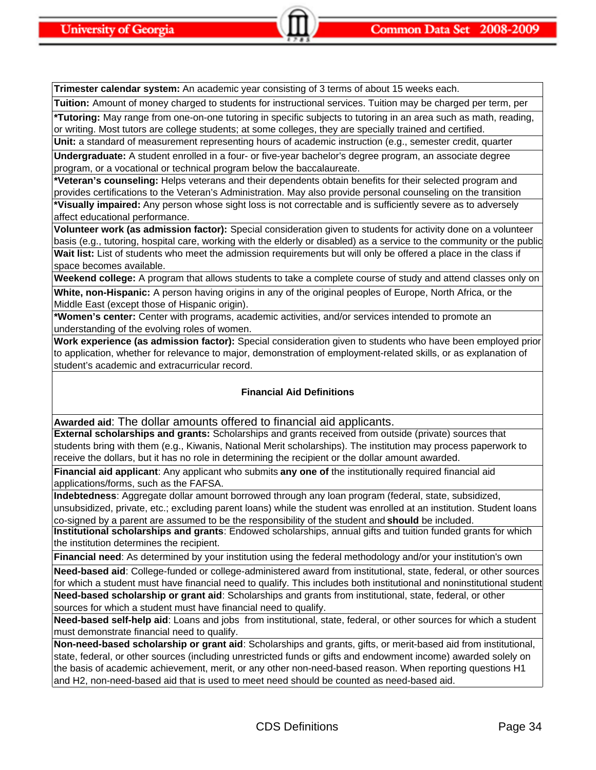**Trimester calendar system:** An academic year consisting of 3 terms of about 15 weeks each.

**Tuition:** Amount of money charged to students for instructional services. Tuition may be charged per term, per

**\*Tutoring:** May range from one-on-one tutoring in specific subjects to tutoring in an area such as math, reading, or writing. Most tutors are college students; at some colleges, they are specially trained and certified.

**Unit:** a standard of measurement representing hours of academic instruction (e.g., semester credit, quarter **Undergraduate:** A student enrolled in a four- or five-year bachelor's degree program, an associate degree program, or a vocational or technical program below the baccalaureate.

**\*Veteran's counseling:** Helps veterans and their dependents obtain benefits for their selected program and provides certifications to the Veteran's Administration. May also provide personal counseling on the transition **\*Visually impaired:** Any person whose sight loss is not correctable and is sufficiently severe as to adversely

affect educational performance.

**Volunteer work (as admission factor):** Special consideration given to students for activity done on a volunteer basis (e.g., tutoring, hospital care, working with the elderly or disabled) as a service to the community or the public Wait list: List of students who meet the admission requirements but will only be offered a place in the class if space becomes available.

**Weekend college:** A program that allows students to take a complete course of study and attend classes only on

**White, non-Hispanic:** A person having origins in any of the original peoples of Europe, North Africa, or the Middle East (except those of Hispanic origin).

**\*Women's center:** Center with programs, academic activities, and/or services intended to promote an understanding of the evolving roles of women.

**Work experience (as admission factor):** Special consideration given to students who have been employed prior to application, whether for relevance to major, demonstration of employment-related skills, or as explanation of student's academic and extracurricular record.

# **Financial Aid Definitions**

**Awarded aid**: The dollar amounts offered to financial aid applicants.

**External scholarships and grants:** Scholarships and grants received from outside (private) sources that students bring with them (e.g., Kiwanis, National Merit scholarships). The institution may process paperwork to receive the dollars, but it has no role in determining the recipient or the dollar amount awarded.

**Financial aid applicant**: Any applicant who submits **any one of** the institutionally required financial aid applications/forms, such as the FAFSA.

**Indebtedness**: Aggregate dollar amount borrowed through any loan program (federal, state, subsidized, unsubsidized, private, etc.; excluding parent loans) while the student was enrolled at an institution. Student loans co-signed by a parent are assumed to be the responsibility of the student and **should** be included.

**Institutional scholarships and grants**: Endowed scholarships, annual gifts and tuition funded grants for which the institution determines the recipient.

**Financial need**: As determined by your institution using the federal methodology and/or your institution's own

**Need-based aid**: College-funded or college-administered award from institutional, state, federal, or other sources for which a student must have financial need to qualify. This includes both institutional and noninstitutional student **Need-based scholarship or grant aid**: Scholarships and grants from institutional, state, federal, or other sources for which a student must have financial need to qualify.

**Need-based self-help aid**: Loans and jobs from institutional, state, federal, or other sources for which a student must demonstrate financial need to qualify.

**Non-need-based scholarship or grant aid**: Scholarships and grants, gifts, or merit-based aid from institutional, state, federal, or other sources (including unrestricted funds or gifts and endowment income) awarded solely on the basis of academic achievement, merit, or any other non-need-based reason. When reporting questions H1 and H2, non-need-based aid that is used to meet need should be counted as need-based aid.